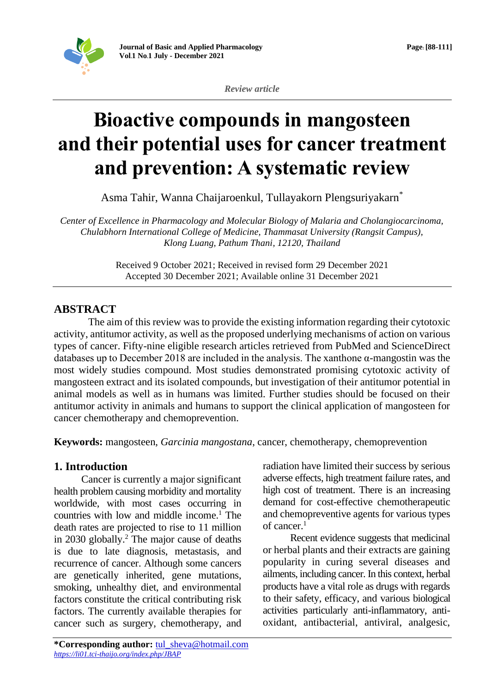

*Review article*

# **Bioactive compounds in mangosteen and their potential uses for cancer treatment and prevention: A systematic review**

Asma Tahir, Wanna Chaijaroenkul, Tullayakorn Plengsuriyakarn\*

*Center of Excellence in Pharmacology and Molecular Biology of Malaria and Cholangiocarcinoma, Chulabhorn International College of Medicine, Thammasat University (Rangsit Campus), Klong Luang, Pathum Thani, 12120, Thailand*

> Received 9 October 2021; Received in revised form 29 December 2021 Accepted 30 December 2021; Available online 31 December 2021

# **ABSTRACT**

The aim of this review was to provide the existing information regarding their cytotoxic activity, antitumor activity, as well as the proposed underlying mechanisms of action on various types of cancer. Fifty-nine eligible research articles retrieved from PubMed and ScienceDirect databases up to December 2018 are included in the analysis. The xanthone α-mangostin was the most widely studies compound. Most studies demonstrated promising cytotoxic activity of mangosteen extract and its isolated compounds, but investigation of their antitumor potential in animal models as well as in humans was limited. Further studies should be focused on their antitumor activity in animals and humans to support the clinical application of mangosteen for cancer chemotherapy and chemoprevention.

**Keywords:** mangosteen, *Garcinia mangostana*, cancer, chemotherapy, chemoprevention

## **1. Introduction**

Cancer is currently a major significant health problem causing morbidity and mortality worldwide, with most cases occurring in countries with low and middle income.<sup>1</sup> The death rates are projected to rise to 11 million in 2030 globally.<sup>2</sup> The major cause of deaths is due to late diagnosis, metastasis, and recurrence of cancer. Although some cancers are genetically inherited, gene mutations, smoking, unhealthy diet, and environmental factors constitute the critical contributing risk factors. The currently available therapies for cancer such as surgery, chemotherapy, and

**\*Corresponding author:** [tul\\_sheva@hotmail.com](mailto:tul_sheva@hotmail.com) *<https://li01.tci-thaijo.org/index.php/JBAP>*

radiation have limited their success by serious adverse effects, high treatment failure rates, and high cost of treatment. There is an increasing demand for cost-effective chemotherapeutic and chemopreventive agents for various types of cancer.<sup>1</sup>

Recent evidence suggests that medicinal or herbal plants and their extracts are gaining popularity in curing several diseases and ailments, including cancer. In this context, herbal products have a vital role as drugs with regards to their safety, efficacy, and various biological activities particularly anti-inflammatory, antioxidant, antibacterial, antiviral, analgesic,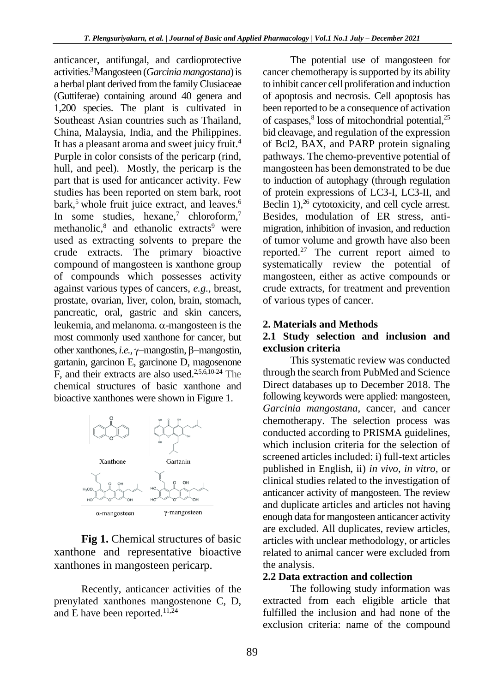anticancer, antifungal, and cardioprotective activities.<sup>3</sup>Mangosteen (*Garcinia mangostana*) is a herbal plant derived from the family Clusiaceae (Guttiferae) containing around 40 genera and 1,200 species. The plant is cultivated in Southeast Asian countries such as Thailand, China, Malaysia, India, and the Philippines. It has a pleasant aroma and sweet juicy fruit.<sup>4</sup> Purple in color consists of the pericarp (rind, hull, and peel). Mostly, the pericarp is the part that is used for anticancer activity. Few studies has been reported on stem bark, root bark,<sup>5</sup> whole fruit juice extract, and leaves.<sup>6</sup> In some studies, hexane, 7 chloroform, 7 methanolic,<sup>8</sup> and ethanolic extracts<sup>9</sup> were used as extracting solvents to prepare the crude extracts. The primary bioactive compound of mangosteen is xanthone group of compounds which possesses activity against various types of cancers, *e.g.,* breast, prostate, ovarian, liver, colon, brain, stomach, pancreatic, oral, gastric and skin cancers, leukemia, and melanoma.  $\alpha$ -mangosteen is the most commonly used xanthone for cancer, but other xanthones, *i.e.*, γ–mangostin, β–mangostin, gartanin, garcinon E, garcinone D, magosenone F, and their extracts are also used.<sup>2,5,6,10-24</sup> The chemical structures of basic xanthone and bioactive xanthones were shown in Figure 1.



Fig 1. Chemical structures of basic xanthone and representative bioactive xanthones in mangosteen pericarp.

Recently, anticancer activities of the prenylated xanthones mangostenone C, D, and E have been reported.<sup>11,24</sup>

The potential use of mangosteen for cancer chemotherapy is supported by its ability to inhibit cancer cell proliferation and induction of apoptosis and necrosis. Cell apoptosis has been reported to be a consequence of activation of caspases, 8 loss of mitochondrial potential, 25 bid cleavage, and regulation of the expression of Bcl2, BAX, and PARP protein signaling pathways. The chemo-preventive potential of mangosteen has been demonstrated to be due to induction of autophagy (through regulation of protein expressions of LC3-I, LC3-II, and Beclin 1),<sup>26</sup> cytotoxicity, and cell cycle arrest. Besides, modulation of ER stress, antimigration, inhibition of invasion, and reduction of tumor volume and growth have also been reported.<sup>27</sup> The current report aimed to systematically review the potential of mangosteen, either as active compounds or crude extracts, for treatment and prevention of various types of cancer.

#### **2. Materials and Methods**

#### **2.1 Study selection and inclusion and exclusion criteria**

This systematic review was conducted through the search from PubMed and Science Direct databases up to December 2018. The following keywords were applied: mangosteen, *Garcinia mangostana*, cancer, and cancer chemotherapy. The selection process was conducted according to PRISMA guidelines, which inclusion criteria for the selection of screened articles included: i) full-text articles published in English, ii) *in vivo*, *in vitro,* or clinical studies related to the investigation of anticancer activity of mangosteen. The review and duplicate articles and articles not having enough data for mangosteen anticancer activity are excluded. All duplicates, review articles, articles with unclear methodology, or articles related to animal cancer were excluded from the analysis.

#### **2.2 Data extraction and collection**

The following study information was extracted from each eligible article that fulfilled the inclusion and had none of the exclusion criteria: name of the compound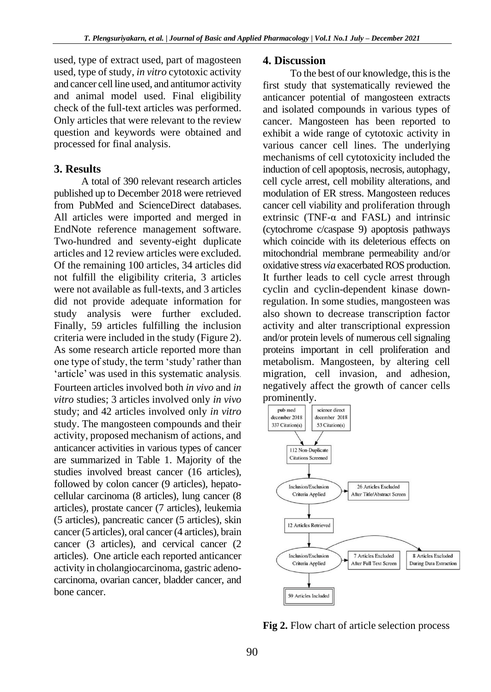used, type of extract used, part of magosteen used, type of study, *in vitro* cytotoxic activity and cancer cell line used, and antitumor activity and animal model used. Final eligibility check of the full-text articles was performed. Only articles that were relevant to the review question and keywords were obtained and processed for final analysis.

#### **3. Results**

A total of 390 relevant research articles published up to December 2018 were retrieved from PubMed and ScienceDirect databases. All articles were imported and merged in EndNote reference management software. Two-hundred and seventy-eight duplicate articles and 12 review articles were excluded. Of the remaining 100 articles, 34 articles did not fulfill the eligibility criteria, 3 articles were not available as full-texts, and 3 articles did not provide adequate information for study analysis were further excluded. Finally, 59 articles fulfilling the inclusion criteria were included in the study (Figure 2). As some research article reported more than one type of study, the term 'study'rather than 'article' was used in this systematic analysis. Fourteen articles involved both *in vivo* and *in vitro* studies; 3 articles involved only *in vivo* study; and 42 articles involved only *in vitro* study. The mangosteen compounds and their activity, proposed mechanism of actions, and anticancer activities in various types of cancer are summarized in Table 1. Majority of the studies involved breast cancer (16 articles), followed by colon cancer (9 articles), hepatocellular carcinoma (8 articles), lung cancer (8 articles), prostate cancer (7 articles), leukemia (5 articles), pancreatic cancer (5 articles), skin cancer (5 articles), oral cancer (4 articles), brain cancer (3 articles), and cervical cancer (2 articles). One article each reported anticancer activity in cholangiocarcinoma, gastric adenocarcinoma, ovarian cancer, bladder cancer, and bone cancer.

#### **4. Discussion**

To the best of our knowledge, this is the first study that systematically reviewed the anticancer potential of mangosteen extracts and isolated compounds in various types of cancer. Mangosteen has been reported to exhibit a wide range of cytotoxic activity in various cancer cell lines. The underlying mechanisms of cell cytotoxicity included the induction of cell apoptosis, necrosis, autophagy, cell cycle arrest, cell mobility alterations, and modulation of ER stress. Mangosteen reduces cancer cell viability and proliferation through extrinsic (TNF-α and FASL) and intrinsic (cytochrome c/caspase 9) apoptosis pathways which coincide with its deleterious effects on mitochondrial membrane permeability and/or oxidative stress *via* exacerbated ROS production. It further leads to cell cycle arrest through cyclin and cyclin-dependent kinase downregulation. In some studies, mangosteen was also shown to decrease transcription factor activity and alter transcriptional expression and/or protein levels of numerous cell signaling proteins important in cell proliferation and metabolism. Mangosteen, by altering cell migration, cell invasion, and adhesion, negatively affect the growth of cancer cells prominently.



**Fig 2.** Flow chart of article selection process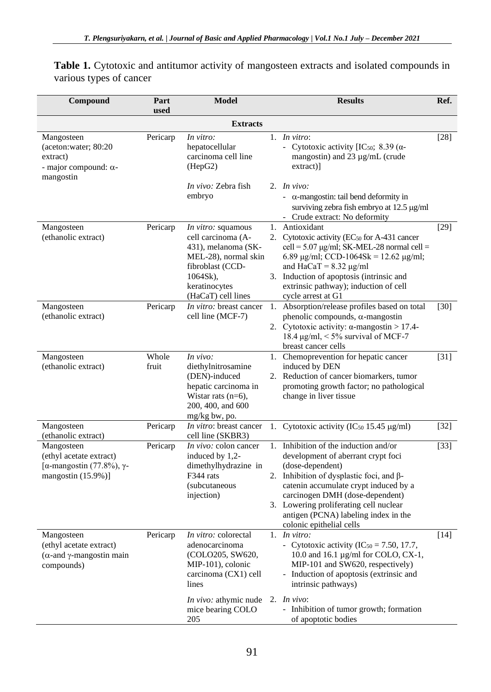| Compound                                                                                                 | Part<br>used   | <b>Model</b>                                                                                                                                                               |    | <b>Results</b>                                                                                                                                                                                                                                                                                                                                                                                  | Ref.   |
|----------------------------------------------------------------------------------------------------------|----------------|----------------------------------------------------------------------------------------------------------------------------------------------------------------------------|----|-------------------------------------------------------------------------------------------------------------------------------------------------------------------------------------------------------------------------------------------------------------------------------------------------------------------------------------------------------------------------------------------------|--------|
|                                                                                                          |                | <b>Extracts</b>                                                                                                                                                            |    |                                                                                                                                                                                                                                                                                                                                                                                                 |        |
| Mangosteen<br>(aceton:water; 80:20<br>extract)<br>- major compound: $\alpha$ -<br>mangostin              | Pericarp       | In vitro:<br>hepatocellular<br>carcinoma cell line<br>(HepG2)<br><i>In vivo: Zebra fish</i><br>embryo                                                                      |    | 1. In vitro:<br>- Cytotoxic activity [IC <sub>50</sub> ; 8.39 ( $\alpha$ -<br>mangostin) and 23 µg/mL (crude<br>$extract)$ ]<br>2. In vivo:<br>- $\alpha$ -mangostin: tail bend deformity in                                                                                                                                                                                                    | $[28]$ |
| Mangosteen<br>(ethanolic extract)                                                                        | Pericarp       | In vitro: squamous<br>cell carcinoma (A-<br>431), melanoma (SK-<br>MEL-28), normal skin<br>fibroblast (CCD-<br>$1064Sk$ ,<br>keratinocytes<br>(HaCaT) cell lines           |    | surviving zebra fish embryo at 12.5 µg/ml<br>- Crude extract: No deformity<br>1. Antioxidant<br>2. Cytotoxic activity (EC <sub>50</sub> for A-431 cancer<br>cell = $5.07 \mu g/ml$ ; SK-MEL-28 normal cell =<br>6.89 µg/ml; CCD-1064Sk = 12.62 µg/ml;<br>and $HaCaT = 8.32 \mu g/ml$<br>3. Induction of apoptosis (intrinsic and<br>extrinsic pathway); induction of cell<br>cycle arrest at G1 | $[29]$ |
| Mangosteen<br>(ethanolic extract)                                                                        | Pericarp       | In vitro: breast cancer<br>cell line (MCF-7)                                                                                                                               | 1. | Absorption/release profiles based on total<br>phenolic compounds, $\alpha$ -mangostin<br>2. Cytotoxic activity: $\alpha$ -mangostin > 17.4-<br>18.4 $\mu$ g/ml, < 5% survival of MCF-7<br>breast cancer cells                                                                                                                                                                                   | $[30]$ |
| Mangosteen<br>(ethanolic extract)                                                                        | Whole<br>fruit | In vivo:<br>diethylnitrosamine<br>(DEN)-induced<br>hepatic carcinoma in<br>Wistar rats $(n=6)$ ,<br>200, 400, and 600<br>mg/kg bw, po.                                     |    | 1. Chemoprevention for hepatic cancer<br>induced by DEN<br>2. Reduction of cancer biomarkers, tumor<br>promoting growth factor; no pathological<br>change in liver tissue                                                                                                                                                                                                                       | $[31]$ |
| Mangosteen<br>(ethanolic extract)                                                                        | Pericarp       | In vitro: breast cancer<br>cell line (SKBR3)                                                                                                                               |    | 1. Cytotoxic activity ( $IC_{50}$ 15.45 $\mu$ g/ml)                                                                                                                                                                                                                                                                                                                                             | $[32]$ |
| Mangosteen<br>(ethyl acetate extract)<br>[ $\alpha$ -mangostin (77.8%), $\gamma$ -<br>mangostin (15.9%)] | Pericarp       | In vivo: colon cancer<br>induced by 1,2-<br>dimethylhydrazine in<br>F344 rats<br>(subcutaneous<br>injection)                                                               |    | 1. Inhibition of the induction and/or<br>development of aberrant crypt foci<br>(dose-dependent)<br>2. Inhibition of dysplastic foci, and $\beta$ -<br>catenin accumulate crypt induced by a<br>carcinogen DMH (dose-dependent)<br>3. Lowering proliferating cell nuclear<br>antigen (PCNA) labeling index in the<br>colonic epithelial cells                                                    | $[33]$ |
| Mangosteen<br>(ethyl acetate extract)<br>$(α$ -and γ-mangostin main<br>compounds)                        | Pericarp       | In vitro: colorectal<br>adenocarcinoma<br>(COLO205, SW620,<br>MIP-101), colonic<br>carcinoma (CX1) cell<br>lines<br>In vivo: athymic nude 2. In vivo:<br>mice bearing COLO |    | 1. In vitro:<br>- Cytotoxic activity ( $IC_{50} = 7.50$ , 17.7,<br>10.0 and 16.1 µg/ml for COLO, CX-1,<br>MIP-101 and SW620, respectively)<br>- Induction of apoptosis (extrinsic and<br>intrinsic pathways)<br>- Inhibition of tumor growth; formation                                                                                                                                         | $[14]$ |
|                                                                                                          |                | 205                                                                                                                                                                        |    | of apoptotic bodies                                                                                                                                                                                                                                                                                                                                                                             |        |

Table 1. Cytotoxic and antitumor activity of mangosteen extracts and isolated compounds in various types of cancer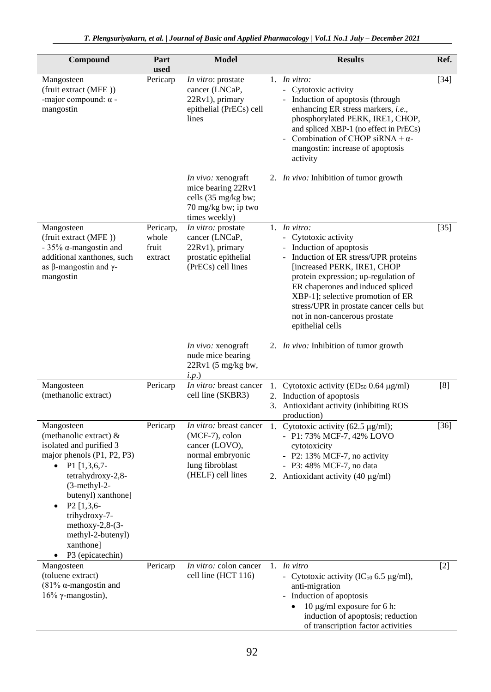| Compound                                                                                                                                                                                                                                                                                                                                    | Part<br>used                           | <b>Model</b>                                                                                                               | <b>Results</b>                                                                                                                                                                                                                                                                                                                                             | Ref.   |
|---------------------------------------------------------------------------------------------------------------------------------------------------------------------------------------------------------------------------------------------------------------------------------------------------------------------------------------------|----------------------------------------|----------------------------------------------------------------------------------------------------------------------------|------------------------------------------------------------------------------------------------------------------------------------------------------------------------------------------------------------------------------------------------------------------------------------------------------------------------------------------------------------|--------|
| Mangosteen<br>(fruit extract (MFE))<br>-major compound: $\alpha$ -<br>mangostin                                                                                                                                                                                                                                                             | Pericarp                               | In vitro: prostate<br>cancer (LNCaP,<br>22Rv1), primary<br>epithelial (PrECs) cell<br>lines                                | 1. In vitro:<br>- Cytotoxic activity<br>- Induction of apoptosis (through<br>enhancing ER stress markers, i.e.,<br>phosphorylated PERK, IRE1, CHOP,<br>and spliced XBP-1 (no effect in PrECs)<br>Combination of CHOP siRNA + $\alpha$ -<br>mangostin: increase of apoptosis<br>activity                                                                    | $[34]$ |
|                                                                                                                                                                                                                                                                                                                                             |                                        | <i>In vivo:</i> xenograft<br>mice bearing 22Rv1<br>cells (35 mg/kg bw;<br>70 mg/kg bw; ip two<br>times weekly)             | 2. <i>In vivo</i> : Inhibition of tumor growth                                                                                                                                                                                                                                                                                                             |        |
| Mangosteen<br>(fruit extract (MFE))<br>- 35% $\alpha$ -mangostin and<br>additional xanthones, such<br>as β-mangostin and γ-<br>mangostin                                                                                                                                                                                                    | Pericarp,<br>whole<br>fruit<br>extract | In vitro: prostate<br>cancer (LNCaP,<br>22Rv1), primary<br>prostatic epithelial<br>(PrECs) cell lines                      | 1. In vitro:<br>- Cytotoxic activity<br>- Induction of apoptosis<br>- Induction of ER stress/UPR proteins<br>[increased PERK, IRE1, CHOP<br>protein expression; up-regulation of<br>ER chaperones and induced spliced<br>XBP-1]; selective promotion of ER<br>stress/UPR in prostate cancer cells but<br>not in non-cancerous prostate<br>epithelial cells | $[35]$ |
|                                                                                                                                                                                                                                                                                                                                             |                                        | In vivo: xenograft<br>nude mice bearing<br>22Rv1 (5 mg/kg bw,<br>i.p.                                                      | 2. <i>In vivo</i> : Inhibition of tumor growth                                                                                                                                                                                                                                                                                                             |        |
| Mangosteen<br>(methanolic extract)                                                                                                                                                                                                                                                                                                          | Pericarp                               | In vitro: breast cancer<br>cell line (SKBR3)                                                                               | 1. Cytotoxic activity ( $ED_{50}$ 0.64 $\mu$ g/ml)<br>2. Induction of apoptosis<br>3. Antioxidant activity (inhibiting ROS<br>production)                                                                                                                                                                                                                  | [8]    |
| Mangosteen<br>(methanolic extract) &<br>isolated and purified 3<br>major phenols (P1, P2, P3)<br>$P1$ [1,3,6,7-<br>$\bullet$<br>tetrahydroxy-2,8-<br>$(3-methyl-2-)$<br>butenyl) xanthone]<br>P <sub>2</sub> [1,3,6-<br>$\bullet$<br>trihydroxy-7-<br>methoxy-2,8- $(3-$<br>methyl-2-butenyl)<br>xanthone]<br>P3 (epicatechin)<br>$\bullet$ | Pericarp                               | In vitro: breast cancer<br>$(MCF-7)$ , colon<br>cancer (LOVO),<br>normal embryonic<br>lung fibroblast<br>(HELF) cell lines | 1. Cytotoxic activity (62.5 µg/ml);<br>- P1: 73% MCF-7, 42% LOVO<br>cytotoxicity<br>- P2: 13% MCF-7, no activity<br>- P3: 48% MCF-7, no data<br>2. Antioxidant activity $(40 \mu g/ml)$                                                                                                                                                                    | $[36]$ |
| Mangosteen<br>(toluene extract)<br>(81% $\alpha$ -mangostin and<br>16% γ-mangostin),                                                                                                                                                                                                                                                        | Pericarp                               | In vitro: colon cancer<br>cell line (HCT 116)                                                                              | 1. $In vitro$<br>- Cytotoxic activity (IC $_{50}$ 6.5 µg/ml),<br>anti-migration<br>- Induction of apoptosis<br>10 μg/ml exposure for 6 h:<br>$\bullet$<br>induction of apoptosis; reduction<br>of transcription factor activities                                                                                                                          | $[2]$  |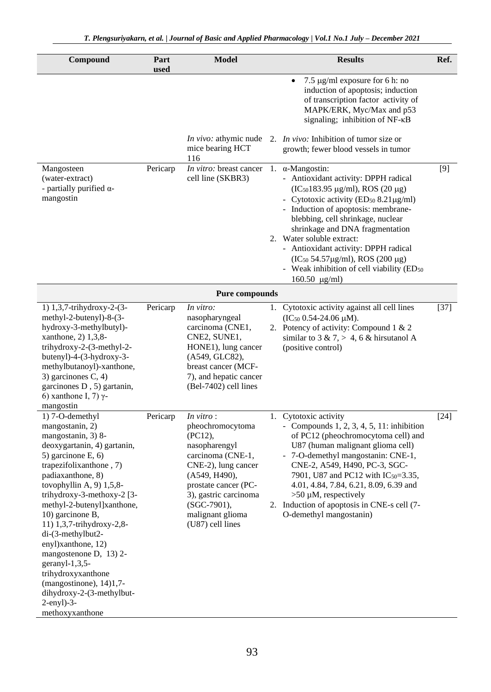| Compound                                                                                                                                                                                                                                                                                                                                                                                                                                                                                                                     | Part<br>used | <b>Model</b>                                                                                                                                                                                                                         | <b>Results</b>                                                                                                                                                                                                                                                                                                                                                                                                                                                                                  | Ref.   |
|------------------------------------------------------------------------------------------------------------------------------------------------------------------------------------------------------------------------------------------------------------------------------------------------------------------------------------------------------------------------------------------------------------------------------------------------------------------------------------------------------------------------------|--------------|--------------------------------------------------------------------------------------------------------------------------------------------------------------------------------------------------------------------------------------|-------------------------------------------------------------------------------------------------------------------------------------------------------------------------------------------------------------------------------------------------------------------------------------------------------------------------------------------------------------------------------------------------------------------------------------------------------------------------------------------------|--------|
|                                                                                                                                                                                                                                                                                                                                                                                                                                                                                                                              |              |                                                                                                                                                                                                                                      | 7.5 µg/ml exposure for 6 h: no<br>induction of apoptosis; induction<br>of transcription factor activity of<br>MAPK/ERK, Myc/Max and p53<br>signaling; inhibition of NF-κB                                                                                                                                                                                                                                                                                                                       |        |
|                                                                                                                                                                                                                                                                                                                                                                                                                                                                                                                              |              | In vivo: athymic nude<br>mice bearing HCT<br>116                                                                                                                                                                                     | 2. <i>In vivo</i> : Inhibition of tumor size or<br>growth; fewer blood vessels in tumor                                                                                                                                                                                                                                                                                                                                                                                                         |        |
| Mangosteen<br>(water-extract)<br>- partially purified $\alpha$ -<br>mangostin                                                                                                                                                                                                                                                                                                                                                                                                                                                | Pericarp     | <i>In vitro:</i> breast cancer<br>cell line (SKBR3)                                                                                                                                                                                  | 1. $\alpha$ -Mangostin:<br>- Antioxidant activity: DPPH radical<br>$(IC50183.95 \mu g/ml)$ , ROS (20 $\mu g$ )<br>- Cytotoxic activity (ED <sub>50</sub> 8.21 $\mu$ g/ml)<br>- Induction of apoptosis: membrane-<br>blebbing, cell shrinkage, nuclear<br>shrinkage and DNA fragmentation<br>2. Water soluble extract:<br>- Antioxidant activity: DPPH radical<br>(IC <sub>50</sub> 54.57μg/ml), ROS (200 μg)<br>- Weak inhibition of cell viability (ED <sub>50</sub><br>$160.50 \text{ µg/ml}$ | [9]    |
|                                                                                                                                                                                                                                                                                                                                                                                                                                                                                                                              |              | <b>Pure compounds</b>                                                                                                                                                                                                                |                                                                                                                                                                                                                                                                                                                                                                                                                                                                                                 |        |
| 1) 1,3,7-trihydroxy-2-(3-<br>methyl-2-butenyl)-8-(3-<br>hydroxy-3-methylbutyl)-<br>xanthone, 2) 1,3,8-<br>trihydroxy-2-(3-methyl-2-<br>butenyl)-4-(3-hydroxy-3-<br>methylbutanoyl)-xanthone,<br>3) garcinones $C$ , 4)<br>garcinones D, 5) gartanin,<br>6) xanthone I, 7) γ-<br>mangostin                                                                                                                                                                                                                                    | Pericarp     | In vitro:<br>nasopharyngeal<br>carcinoma (CNE1,<br>CNE2, SUNE1,<br>HONE1), lung cancer<br>(A549, GLC82),<br>breast cancer (MCF-<br>7), and hepatic cancer<br>(Bel-7402) cell lines                                                   | 1. Cytotoxic activity against all cell lines<br>$(IC_{50} 0.54-24.06 \mu M).$<br>2. Potency of activity: Compound 1 & 2<br>similar to 3 & 7, > 4, 6 & hirsutanol A<br>(positive control)                                                                                                                                                                                                                                                                                                        | $[37]$ |
| 1) 7-O-demethyl<br>mangostanin, 2)<br>mangostanin, 3) 8-<br>deoxygartanin, 4) gartanin,<br>5) garcinone E, 6)<br>trapezifolixanthone, 7)<br>padiaxanthone, 8)<br>tovophyllin A, $9$ ) $1,5,8$ -<br>trihydroxy-3-methoxy-2 [3-<br>methyl-2-butenyl]xanthone,<br>10) garcinone B,<br>11) 1,3,7-trihydroxy-2,8-<br>di-(3-methylbut2-<br>enyl)xanthone, 12)<br>mangostenone D, 13) 2-<br>geranyl-1,3,5-<br>trihydroxyxanthone<br>$(mangostinone)$ , 14)1,7-<br>dihydroxy-2-(3-methylbut-<br>$2$ -enyl $)-3$ -<br>methoxyxanthone | Pericarp     | In vitro:<br>pheochromocytoma<br>$(PC12)$ ,<br>nasopharengyl<br>carcinoma (CNE-1,<br>CNE-2), lung cancer<br>(A549, H490),<br>prostate cancer (PC-<br>3), gastric carcinoma<br>$(SGC-7901)$ ,<br>malignant glioma<br>(U87) cell lines | 1. Cytotoxic activity<br>- Compounds $1, 2, 3, 4, 5, 11$ : inhibition<br>of PC12 (pheochromocytoma cell) and<br>U87 (human malignant glioma cell)<br>- 7-O-demethyl mangostanin: CNE-1,<br>CNE-2, A549, H490, PC-3, SGC-<br>7901, U87 and PC12 with IC <sub>50</sub> =3.35,<br>4.01, 4.84, 7.84, 6.21, 8.09, 6.39 and<br>$>50 \mu M$ , respectively<br>2. Induction of apoptosis in CNE-s cell (7-<br>O-demethyl mangostanin)                                                                   | $[24]$ |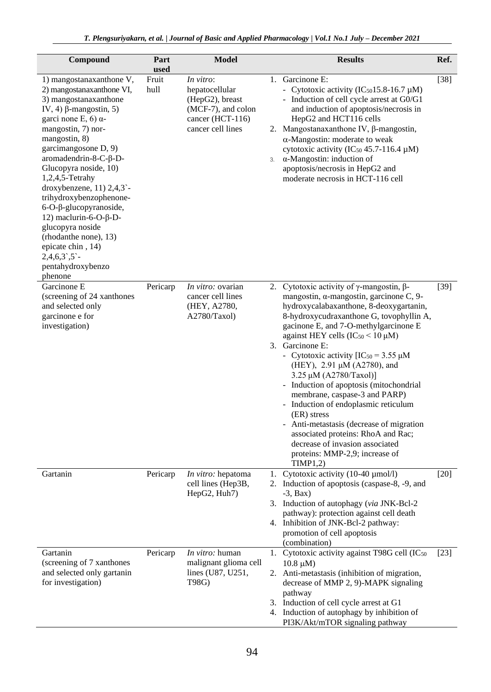| Compound                                                                                                                                                                                                                                                                                                                                                                                                                                                                                                                              | Part<br>used  | <b>Model</b>                                                                                                  | <b>Results</b>                                                                                                                                                                                                                                                                                                                                                                                                                                                                                                                                                                                                                                                                                                    | Ref.   |
|---------------------------------------------------------------------------------------------------------------------------------------------------------------------------------------------------------------------------------------------------------------------------------------------------------------------------------------------------------------------------------------------------------------------------------------------------------------------------------------------------------------------------------------|---------------|---------------------------------------------------------------------------------------------------------------|-------------------------------------------------------------------------------------------------------------------------------------------------------------------------------------------------------------------------------------------------------------------------------------------------------------------------------------------------------------------------------------------------------------------------------------------------------------------------------------------------------------------------------------------------------------------------------------------------------------------------------------------------------------------------------------------------------------------|--------|
| 1) mangostanaxanthone V,<br>2) mangostanaxanthone VI,<br>3) mangostanaxanthone<br>IV, 4) $\beta$ -mangostin, 5)<br>garci none E, 6) $\alpha$ -<br>mangostin, 7) nor-<br>mangostin, 8)<br>garcimangosone D, 9)<br>aromadendrin-8-C-β-D-<br>Glucopyra noside, 10)<br>$1,2,4,5$ -Tetrahy<br>droxybenzene, $11$ ) $2,4,3$ -<br>trihydroxybenzophenone-<br>$6$ -O- $\beta$ -glucopyranoside,<br>12) maclurin-6-O-β-D-<br>glucopyra noside<br>(rhodanthe none), 13)<br>epicate chin, 14)<br>$2,4,6,3$ , 5 -<br>pentahydroxybenzo<br>phenone | Fruit<br>hull | In vitro:<br>hepatocellular<br>(HepG2), breast<br>(MCF-7), and colon<br>cancer (HCT-116)<br>cancer cell lines | 1. Garcinone E:<br>- Cytotoxic activity ( $IC_{50}15.8-16.7 \mu M$ )<br>- Induction of cell cycle arrest at G0/G1<br>and induction of apoptosis/necrosis in<br>HepG2 and HCT116 cells<br>2. Mangostanaxanthone IV, $\beta$ -mangostin,<br>$\alpha$ -Mangostin: moderate to weak<br>cytotoxic activity (IC <sub>50</sub> 45.7-116.4 $\mu$ M)<br>$\alpha$ -Mangostin: induction of<br>3.<br>apoptosis/necrosis in HepG2 and<br>moderate necrosis in HCT-116 cell                                                                                                                                                                                                                                                    | $[38]$ |
| Garcinone E<br>(screening of 24 xanthones<br>and selected only<br>garcinone e for<br>investigation)                                                                                                                                                                                                                                                                                                                                                                                                                                   | Pericarp      | <i>In vitro:</i> ovarian<br>cancer cell lines<br>(HEY, A2780,<br>A2780/Taxol)                                 | 2. Cytotoxic activity of $\gamma$ -mangostin, $\beta$ -<br>mangostin, a-mangostin, garcinone C, 9-<br>hydroxycalabaxanthone, 8-deoxygartanin,<br>8-hydroxycudraxanthone G, tovophyllin A,<br>gacinone E, and 7-O-methylgarcinone E<br>against HEY cells $(IC_{50} < 10 \mu M)$<br>3. Garcinone E:<br>- Cytotoxic activity $[IC_{50} = 3.55 \mu M]$<br>(HEY), 2.91 µM (A2780), and<br>3.25 μM (A2780/Taxol)]<br>- Induction of apoptosis (mitochondrial<br>membrane, caspase-3 and PARP)<br>- Induction of endoplasmic reticulum<br>(ER) stress<br>- Anti-metastasis (decrease of migration<br>associated proteins: RhoA and Rac;<br>decrease of invasion associated<br>proteins: MMP-2,9; increase of<br>TIMP1,2) | $[39]$ |
| Gartanin                                                                                                                                                                                                                                                                                                                                                                                                                                                                                                                              | Pericarp      | In vitro: hepatoma<br>cell lines (Hep3B,<br>HepG2, Huh7)                                                      | Cytotoxic activity (10-40 µmol/l)<br>2. Induction of apoptosis (caspase-8, -9, and<br>$-3$ , Bax)<br>3. Induction of autophagy (via JNK-Bcl-2<br>pathway): protection against cell death<br>4. Inhibition of JNK-Bcl-2 pathway:<br>promotion of cell apoptosis<br>(combination)                                                                                                                                                                                                                                                                                                                                                                                                                                   | $[20]$ |
| Gartanin<br>(screening of 7 xanthones<br>and selected only gartanin<br>for investigation)                                                                                                                                                                                                                                                                                                                                                                                                                                             | Pericarp      | In vitro: human<br>malignant glioma cell<br>lines (U87, U251,<br>T98G)                                        | Cytotoxic activity against T98G cell (IC <sub>50</sub><br>1.<br>$10.8 \mu M$ )<br>2. Anti-metastasis (inhibition of migration,<br>decrease of MMP 2, 9)-MAPK signaling<br>pathway<br>3. Induction of cell cycle arrest at G1<br>4. Induction of autophagy by inhibition of<br>PI3K/Akt/mTOR signaling pathway                                                                                                                                                                                                                                                                                                                                                                                                     | $[23]$ |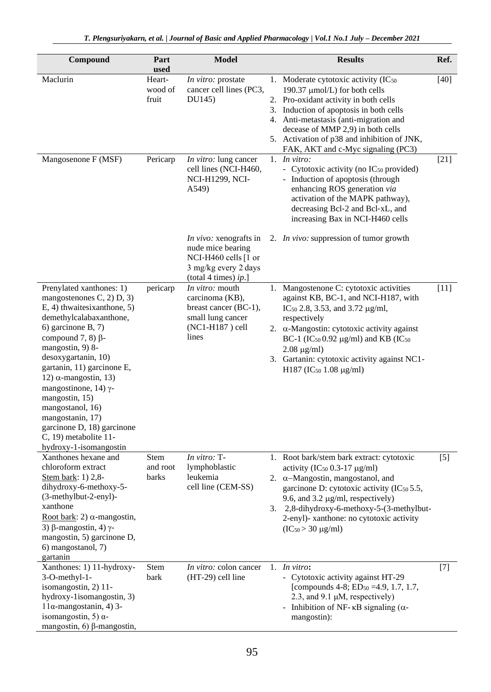| Compound                                                                                                                                                                                                                                                                                                                                                                                                                                             | Part<br>used               | <b>Model</b>                                                                                                                 |    | <b>Results</b>                                                                                                                                                                                                                                                                                                                                                                              | Ref.   |
|------------------------------------------------------------------------------------------------------------------------------------------------------------------------------------------------------------------------------------------------------------------------------------------------------------------------------------------------------------------------------------------------------------------------------------------------------|----------------------------|------------------------------------------------------------------------------------------------------------------------------|----|---------------------------------------------------------------------------------------------------------------------------------------------------------------------------------------------------------------------------------------------------------------------------------------------------------------------------------------------------------------------------------------------|--------|
| Maclurin                                                                                                                                                                                                                                                                                                                                                                                                                                             | Heart-<br>wood of<br>fruit | In vitro: prostate<br>cancer cell lines (PC3,<br>DU145)                                                                      | 3. | 1. Moderate cytotoxic activity (IC <sub>50</sub><br>190.37 µmol/L) for both cells<br>2. Pro-oxidant activity in both cells<br>Induction of apoptosis in both cells<br>4. Anti-metastasis (anti-migration and<br>decease of MMP 2,9) in both cells<br>5. Activation of p38 and inhibition of JNK,<br>FAK, AKT and c-Myc signaling (PC3)                                                      | $[40]$ |
| Mangosenone F (MSF)                                                                                                                                                                                                                                                                                                                                                                                                                                  | Pericarp                   | In vitro: lung cancer<br>cell lines (NCI-H460,<br><b>NCI-H1299, NCI-</b><br>A549)                                            |    | 1. $In vitro:$<br>- Cytotoxic activity (no IC <sub>50</sub> provided)<br>- Induction of apoptosis (through<br>enhancing ROS generation via<br>activation of the MAPK pathway),<br>decreasing Bcl-2 and Bcl-xL, and<br>increasing Bax in NCI-H460 cells                                                                                                                                      | [21]   |
|                                                                                                                                                                                                                                                                                                                                                                                                                                                      |                            | <i>In vivo:</i> xenografts in<br>nude mice bearing<br>NCI-H460 cells [1 or<br>3 mg/kg every 2 days<br>(total 4 times) $ip.]$ |    | 2. <i>In vivo</i> : suppression of tumor growth                                                                                                                                                                                                                                                                                                                                             |        |
| Prenylated xanthones: 1)<br>mangostenones $C$ , 2) $D$ , 3)<br>E, 4) thwaitesix anthone, 5)<br>demethylcalabaxanthone,<br>6) garcinone B, 7)<br>compound 7, 8) $\beta$ -<br>mangostin, 9) 8-<br>desoxygartanin, 10)<br>gartanin, 11) garcinone E,<br>12) α-mangostin, 13)<br>mangostinone, 14) $\gamma$ -<br>mangostin, 15)<br>mangostanol, 16)<br>mangostanin, 17)<br>garcinone D, 18) garcinone<br>C, 19) metabolite 11-<br>hydroxy-1-isomangostin | pericarp                   | <i>In vitro:</i> mouth<br>carcinoma (KB),<br>breast cancer (BC-1),<br>small lung cancer<br>(NC1-H187) cell<br>lines          |    | 1. Mangostenone C: cytotoxic activities<br>against KB, BC-1, and NCI-H187, with<br>IC <sub>50</sub> 2.8, 3.53, and 3.72 $\mu$ g/ml,<br>respectively<br>2. $\alpha$ -Mangostin: cytotoxic activity against<br>BC-1 (IC <sub>50</sub> 0.92 $\mu$ g/ml) and KB (IC <sub>50</sub><br>$2.08 \mu g/ml$<br>3. Gartanin: cytotoxic activity against NC1-<br>H187 (IC <sub>50</sub> 1.08 $\mu$ g/ml) | $[11]$ |
| Xanthones hexane and<br>chloroform extract<br>Stem bark: 1) 2,8-<br>dihydroxy-6-methoxy-5-<br>(3-methylbut-2-enyl)-<br>xanthone<br>Root bark: 2) $\alpha$ -mangostin,<br>3) β-mangostin, 4) γ-<br>mangostin, 5) garcinone D,<br>6) mangostanol, 7)<br>gartanin                                                                                                                                                                                       | Stem<br>and root<br>barks  | In vitro: T-<br>lymphoblastic<br>leukemia<br>cell line (CEM-SS)                                                              |    | 1. Root bark/stem bark extract: cytotoxic<br>activity (IC <sub>50</sub> 0.3-17 $\mu$ g/ml)<br>2. $\alpha$ –Mangostin, mangostanol, and<br>garcinone D: cytotoxic activity (IC <sub>50</sub> 5.5,<br>9.6, and 3.2 $\mu$ g/ml, respectively)<br>3. 2,8-dihydroxy-6-methoxy-5-(3-methylbut-<br>2-enyl)- xanthone: no cytotoxic activity<br>$(IC_{50} > 30 \mu g/ml)$                           | $[5]$  |
| Xanthones: 1) 11-hydroxy-<br>3-O-methyl-1-<br>isomangostin, 2) 11-<br>hydroxy-1isomangostin, 3)<br>$11\alpha$ -mangostanin, 4) 3-<br>isomangostin, 5) $\alpha$ -<br>mangostin, 6) $\beta$ -mangostin,                                                                                                                                                                                                                                                | Stem<br>bark               | In vitro: colon cancer<br>(HT-29) cell line                                                                                  |    | 1. In vitro:<br>- Cytotoxic activity against HT-29<br>[compounds 4-8; ED <sub>50</sub> = 4.9, 1.7, 1.7,<br>2.3, and 9.1 $\mu$ M, respectively)<br>- Inhibition of NF- $\kappa$ B signaling ( $\alpha$ -<br>mangostin):                                                                                                                                                                      | $[7]$  |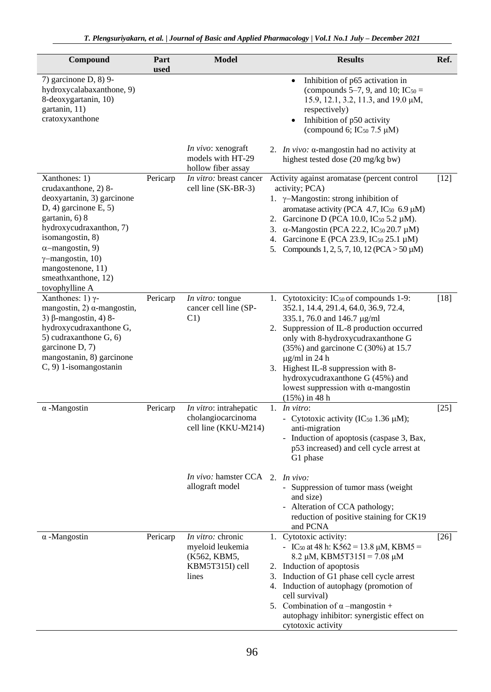| Compound                                                                                                                                                                                                                                                                                | Part<br>used | <b>Model</b>                                                                      | <b>Results</b>                                                                                                                                                                                                                                                                                                                                                                                                                   | Ref.               |
|-----------------------------------------------------------------------------------------------------------------------------------------------------------------------------------------------------------------------------------------------------------------------------------------|--------------|-----------------------------------------------------------------------------------|----------------------------------------------------------------------------------------------------------------------------------------------------------------------------------------------------------------------------------------------------------------------------------------------------------------------------------------------------------------------------------------------------------------------------------|--------------------|
| 7) garcinone D, 8) 9-<br>hydroxycalabaxanthone, 9)<br>8-deoxygartanin, 10)<br>gartanin, 11)<br>cratoxyxanthone                                                                                                                                                                          |              |                                                                                   | Inhibition of p65 activation in<br>$\bullet$<br>(compounds 5–7, 9, and 10; IC $_{50}$ =<br>15.9, 12.1, 3.2, 11.3, and 19.0 µM,<br>respectively)<br>Inhibition of p50 activity<br>$\bullet$<br>(compound 6; IC $_{50}$ 7.5 $\mu$ M)                                                                                                                                                                                               |                    |
|                                                                                                                                                                                                                                                                                         |              | In vivo: xenograft<br>models with HT-29<br>hollow fiber assay                     | 2. <i>In vivo</i> : $\alpha$ -mangostin had no activity at<br>highest tested dose (20 mg/kg bw)                                                                                                                                                                                                                                                                                                                                  |                    |
| Xanthones: 1)<br>crudaxanthone, 2) 8-<br>deoxyartanin, 3) garcinone<br>$D, 4)$ garcinone $E, 5$ )<br>gartanin, 6) 8<br>hydroxycudraxanthon, 7)<br>isomangostin, 8)<br>$\alpha$ -mangostin, 9)<br>$\gamma$ -mangostin, 10)<br>mangostenone, 11)<br>smeathxanthone, 12)<br>tovophylline A | Pericarp     | In vitro: breast cancer<br>cell line (SK-BR-3)                                    | Activity against aromatase (percent control<br>activity; PCA)<br>1. $\gamma$ -Mangostin: strong inhibition of<br>aromatase activity (PCA 4.7, IC <sub>50</sub> 6.9 $\mu$ M)<br>2. Garcinone D (PCA 10.0, IC <sub>50</sub> 5.2 μM).<br>$\alpha$ -Mangostin (PCA 22.2, IC <sub>50</sub> 20.7 µM)<br>3.<br>4. Garcinone E (PCA 23.9, IC <sub>50</sub> 25.1 μM)<br>5. Compounds 1, 2, 5, 7, 10, 12 (PCA $>$ 50 $\mu$ M)              | $[12]$             |
| Xanthones: 1) $\gamma$ -<br>mangostin, 2) $\alpha$ -mangostin,<br>3) $\beta$ -mangostin, 4) 8-<br>hydroxycudraxanthone G,<br>5) cudraxanthone G, 6)<br>garcinone D, 7)<br>mangostanin, 8) garcinone<br>C, 9) 1-isomangostanin                                                           | Pericarp     | In vitro: tongue<br>cancer cell line (SP-<br>C1)                                  | 1. Cytotoxicity: IC <sub>50</sub> of compounds 1-9:<br>352.1, 14.4, 291.4, 64.0, 36.9, 72.4,<br>335.1, 76.0 and 146.7 µg/ml<br>2. Suppression of IL-8 production occurred<br>only with 8-hydroxycudraxanthone G<br>$(35\%)$ and garcinone C $(30\%)$ at 15.7<br>$\mu$ g/ml in 24 h<br>3. Highest IL-8 suppression with 8-<br>hydroxycudraxanthone G (45%) and<br>lowest suppression with $\alpha$ -mangostin<br>$(15\%)$ in 48 h | $[18]$             |
| $\alpha$ -Mangostin                                                                                                                                                                                                                                                                     | Pericarp     | In vitro: intrahepatic<br>cholangiocarcinoma<br>cell line (KKU-M214)              | 1. In vitro:<br>- Cytotoxic activity (IC <sub>50</sub> 1.36 $\mu$ M);<br>anti-migration<br>- Induction of apoptosis (caspase 3, Bax,<br>p53 increased) and cell cycle arrest at<br>G1 phase                                                                                                                                                                                                                                      | $\lceil 25 \rceil$ |
|                                                                                                                                                                                                                                                                                         |              | In vivo: hamster CCA 2. In vivo:<br>allograft model                               | - Suppression of tumor mass (weight<br>and size)<br>- Alteration of CCA pathology;<br>reduction of positive staining for CK19<br>and PCNA                                                                                                                                                                                                                                                                                        |                    |
| $\alpha$ -Mangostin                                                                                                                                                                                                                                                                     | Pericarp     | In vitro: chronic<br>myeloid leukemia<br>(K562, KBM5,<br>KBM5T315I) cell<br>lines | 1. Cytotoxic activity:<br>- IC <sub>50</sub> at 48 h: K562 = 13.8 $\mu$ M, KBM5 =<br>8.2 μM, KBM5T315I = 7.08 μM<br>2. Induction of apoptosis<br>Induction of G1 phase cell cycle arrest<br>3.<br>4. Induction of autophagy (promotion of<br>cell survival)<br>5. Combination of $\alpha$ -mangostin +<br>autophagy inhibitor: synergistic effect on<br>cytotoxic activity                                                       | $[26]$             |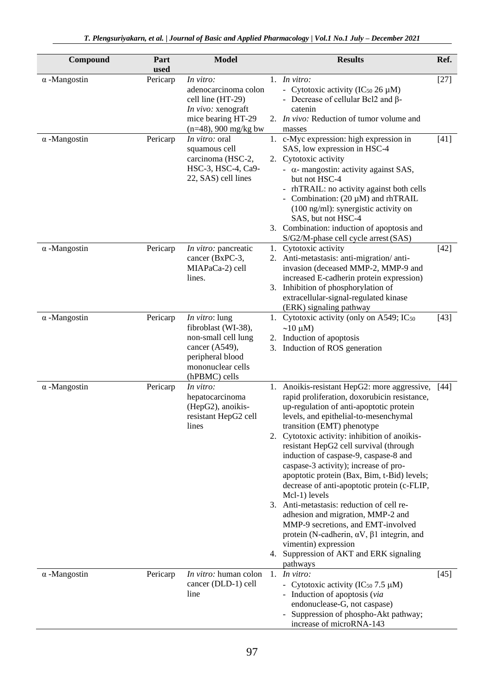| Compound            | Part<br>used | <b>Model</b>                                                                                                                                     |    | <b>Results</b>                                                                                                                                                                                                                                                                                                                                                                                                                                                                                                                                                                                                                                                                                                                                                                 | Ref.   |
|---------------------|--------------|--------------------------------------------------------------------------------------------------------------------------------------------------|----|--------------------------------------------------------------------------------------------------------------------------------------------------------------------------------------------------------------------------------------------------------------------------------------------------------------------------------------------------------------------------------------------------------------------------------------------------------------------------------------------------------------------------------------------------------------------------------------------------------------------------------------------------------------------------------------------------------------------------------------------------------------------------------|--------|
| $\alpha$ -Mangostin | Pericarp     | In vitro:<br>adenocarcinoma colon<br>cell line (HT-29)<br>In vivo: xenograft<br>mice bearing HT-29<br>$(n=48)$ , 900 mg/kg bw                    |    | 1. In vitro:<br>- Cytotoxic activity ( $IC_{50}$ 26 $\mu$ M)<br>- Decrease of cellular Bcl2 and $\beta$ -<br>catenin<br>2. <i>In vivo</i> : Reduction of tumor volume and<br>masses                                                                                                                                                                                                                                                                                                                                                                                                                                                                                                                                                                                            | $[27]$ |
| $\alpha$ -Mangostin | Pericarp     | <i>In vitro:</i> oral<br>squamous cell<br>carcinoma (HSC-2,<br>HSC-3, HSC-4, Ca9-<br>22, SAS) cell lines                                         |    | 1. c-Myc expression: high expression in<br>SAS, low expression in HSC-4<br>2. Cytotoxic activity<br>- $\alpha$ - mangostin: activity against SAS,<br>but not HSC-4<br>- rhTRAIL: no activity against both cells<br>- Combination: $(20 \mu M)$ and rhTRAIL<br>$(100 \text{ ng/ml})$ : synergistic activity on<br>SAS, but not HSC-4<br>3. Combination: induction of apoptosis and<br>S/G2/M-phase cell cycle arrest (SAS)                                                                                                                                                                                                                                                                                                                                                      | $[41]$ |
| $\alpha$ -Mangostin | Pericarp     | In vitro: pancreatic<br>cancer (BxPC-3,<br>MIAPaCa-2) cell<br>lines.                                                                             |    | 1. Cytotoxic activity<br>2. Anti-metastasis: anti-migration/anti-<br>invasion (deceased MMP-2, MMP-9 and<br>increased E-cadherin protein expression)<br>3. Inhibition of phosphorylation of<br>extracellular-signal-regulated kinase<br>(ERK) signaling pathway                                                                                                                                                                                                                                                                                                                                                                                                                                                                                                                | $[42]$ |
| $\alpha$ -Mangostin | Pericarp     | <i>In vitro</i> : lung<br>fibroblast (WI-38),<br>non-small cell lung<br>cancer (A549),<br>peripheral blood<br>mononuclear cells<br>(hPBMC) cells |    | 1. Cytotoxic activity (only on A549; IC <sub>50</sub><br>$\sim$ 10 µM)<br>2. Induction of apoptosis<br>3. Induction of ROS generation                                                                                                                                                                                                                                                                                                                                                                                                                                                                                                                                                                                                                                          | [43]   |
| $\alpha$ -Mangostin | Pericarp     | In vitro:<br>hepatocarcinoma<br>(HepG2), anoikis-<br>resistant HepG2 cell<br>lines                                                               |    | 1. Anoikis-resistant HepG2: more aggressive,<br>rapid proliferation, doxorubicin resistance,<br>up-regulation of anti-apoptotic protein<br>levels, and epithelial-to-mesenchymal<br>transition (EMT) phenotype<br>2. Cytotoxic activity: inhibition of anoikis-<br>resistant HepG2 cell survival (through<br>induction of caspase-9, caspase-8 and<br>caspase-3 activity); increase of pro-<br>apoptotic protein (Bax, Bim, t-Bid) levels;<br>decrease of anti-apoptotic protein (c-FLIP,<br>Mcl-1) levels<br>3. Anti-metastasis: reduction of cell re-<br>adhesion and migration, MMP-2 and<br>MMP-9 secretions, and EMT-involved<br>protein (N-cadherin, $\alpha V$ , $\beta 1$ integrin, and<br>vimentin) expression<br>4. Suppression of AKT and ERK signaling<br>pathways | [44]   |
| $\alpha$ -Mangostin | Pericarp     | In vitro: human colon<br>cancer (DLD-1) cell<br>line                                                                                             | 1. | In vitro:<br>- Cytotoxic activity (IC <sub>50</sub> 7.5 $\mu$ M)<br>- Induction of apoptosis (via<br>endonuclease-G, not caspase)<br>- Suppression of phospho-Akt pathway;<br>increase of microRNA-143                                                                                                                                                                                                                                                                                                                                                                                                                                                                                                                                                                         | $[45]$ |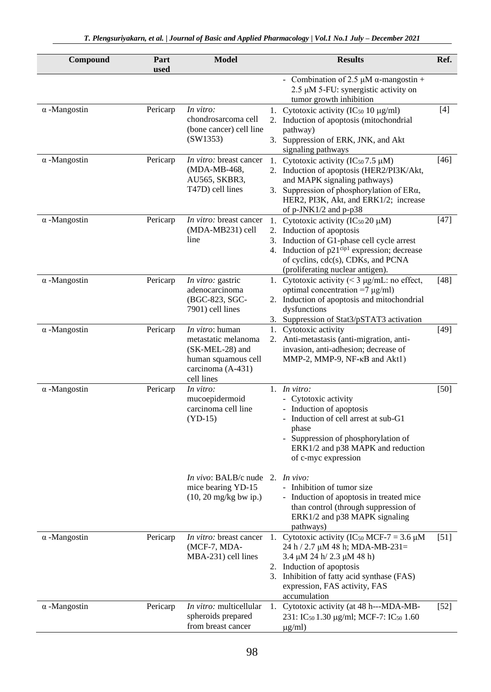| Compound            | Part<br>used | <b>Model</b>                                                                                                        | <b>Results</b>                                                                                                                                                                                                                                                 | Ref.   |
|---------------------|--------------|---------------------------------------------------------------------------------------------------------------------|----------------------------------------------------------------------------------------------------------------------------------------------------------------------------------------------------------------------------------------------------------------|--------|
|                     |              |                                                                                                                     | - Combination of 2.5 $\mu$ M $\alpha$ -mangostin +<br>2.5 µM 5-FU: synergistic activity on<br>tumor growth inhibition                                                                                                                                          |        |
| $\alpha$ -Mangostin | Pericarp     | In vitro:<br>chondrosarcoma cell<br>(bone cancer) cell line<br>(SW1353)                                             | 1. Cytotoxic activity (IC $_{50}$ 10 $\mu$ g/ml)<br>Induction of apoptosis (mitochondrial<br>2.<br>pathway)<br>3. Suppression of ERK, JNK, and Akt<br>signaling pathways                                                                                       | $[4]$  |
| $\alpha$ -Mangostin | Pericarp     | In vitro: breast cancer<br>(MDA-MB-468,<br>AU565, SKBR3,<br>T47D) cell lines                                        | Cytotoxic activity ( $IC_{50}$ 7.5 µM)<br>1.<br>2. Induction of apoptosis (HER2/PI3K/Akt,<br>and MAPK signaling pathways)<br>3. Suppression of phosphorylation of ERa,<br>HER2, PI3K, Akt, and ERK1/2; increase<br>of $p$ -JNK1/2 and $p$ -p38                 | $[46]$ |
| $\alpha$ -Mangostin | Pericarp     | <i>In vitro:</i> breast cancer<br>(MDA-MB231) cell<br>line                                                          | 1. Cytotoxic activity (IC $50\,20\,\mu$ M)<br>2. Induction of apoptosis<br>Induction of G1-phase cell cycle arrest<br>3.<br>4. Induction of p21 <sup>cip1</sup> expression; decrease<br>of cyclins, cdc(s), CDKs, and PCNA<br>(proliferating nuclear antigen). | $[47]$ |
| $\alpha$ -Mangostin | Pericarp     | In vitro: gastric<br>adenocarcinoma<br>(BGC-823, SGC-<br>7901) cell lines                                           | 1. Cytotoxic activity $(< 3 \mu g/mL$ : no effect,<br>optimal concentration =7 $\mu$ g/ml)<br>2. Induction of apoptosis and mitochondrial<br>dysfunctions<br>3. Suppression of Stat3/pSTAT3 activation                                                         | $[48]$ |
| $\alpha$ -Mangostin | Pericarp     | In vitro: human<br>metastatic melanoma<br>(SK-MEL-28) and<br>human squamous cell<br>carcinoma (A-431)<br>cell lines | 1. Cytotoxic activity<br>2. Anti-metastasis (anti-migration, anti-<br>invasion, anti-adhesion; decrease of<br>MMP-2, MMP-9, $NF-\kappa B$ and $Akt1$ )                                                                                                         | $[49]$ |
| $\alpha$ -Mangostin | Pericarp     | In vitro:<br>mucoepidermoid<br>carcinoma cell line<br>$(YD-15)$                                                     | 1. $In vitro:$<br>- Cytotoxic activity<br>- Induction of apoptosis<br>- Induction of cell arrest at sub-G1<br>phase<br>- Suppression of phosphorylation of<br>ERK1/2 and p38 MAPK and reduction<br>of c-myc expression                                         | $[50]$ |
|                     |              | In vivo: BALB/c nude 2. In vivo:<br>mice bearing YD-15<br>$(10, 20 \text{ mg/kg}$ bw ip.)                           | - Inhibition of tumor size<br>- Induction of apoptosis in treated mice<br>than control (through suppression of<br>ERK1/2 and p38 MAPK signaling<br>pathways)                                                                                                   |        |
| $\alpha$ -Mangostin | Pericarp     | In vitro: breast cancer<br>(MCF-7, MDA-<br>MBA-231) cell lines                                                      | 1. Cytotoxic activity (IC <sub>50</sub> MCF-7 = 3.6 $\mu$ M<br>24 h / 2.7 µM 48 h; MDA-MB-231=<br>3.4 μM 24 h/ 2.3 μM 48 h)<br>2. Induction of apoptosis<br>3. Inhibition of fatty acid synthase (FAS)<br>expression, FAS activity, FAS<br>accumulation        | $[51]$ |
| $\alpha$ -Mangostin | Pericarp     | In vitro: multicellular<br>spheroids prepared<br>from breast cancer                                                 | 1. Cytotoxic activity (at 48 h---MDA-MB-<br>231: IC <sub>50</sub> 1.30 μg/ml; MCF-7: IC <sub>50</sub> 1.60<br>$\mu$ g/ml)                                                                                                                                      | $[52]$ |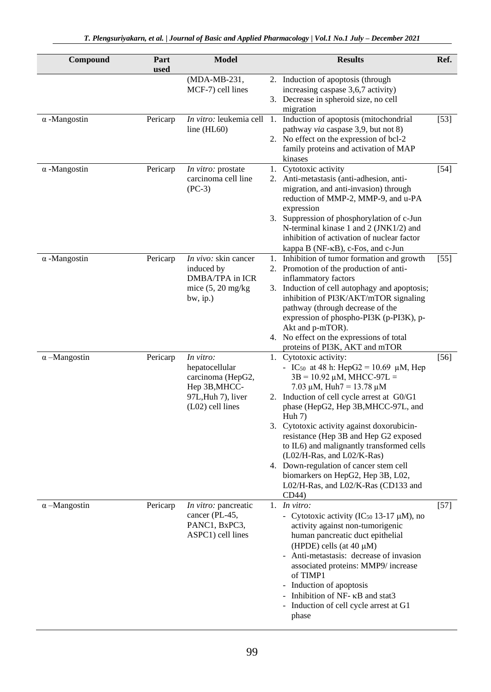| Compound            | Part<br>used | <b>Model</b>                                                                                                  | <b>Results</b>                                                                                                                                                                                                                                                                                                                                                                                                                                                                                                                                           | Ref.   |
|---------------------|--------------|---------------------------------------------------------------------------------------------------------------|----------------------------------------------------------------------------------------------------------------------------------------------------------------------------------------------------------------------------------------------------------------------------------------------------------------------------------------------------------------------------------------------------------------------------------------------------------------------------------------------------------------------------------------------------------|--------|
|                     |              | (MDA-MB-231,<br>MCF-7) cell lines                                                                             | 2. Induction of apoptosis (through<br>increasing caspase 3,6,7 activity)<br>3. Decrease in spheroid size, no cell                                                                                                                                                                                                                                                                                                                                                                                                                                        |        |
| $\alpha$ -Mangostin | Pericarp     | line $(HL60)$                                                                                                 | migration<br>In vitro: leukemia cell 1. Induction of apoptosis (mitochondrial<br>pathway via caspase 3,9, but not 8)<br>2. No effect on the expression of bcl-2<br>family proteins and activation of MAP<br>kinases                                                                                                                                                                                                                                                                                                                                      | $[53]$ |
| $\alpha$ -Mangostin | Pericarp     | In vitro: prostate<br>carcinoma cell line<br>$(PC-3)$                                                         | 1. Cytotoxic activity<br>2. Anti-metastasis (anti-adhesion, anti-<br>migration, and anti-invasion) through<br>reduction of MMP-2, MMP-9, and u-PA<br>expression<br>3. Suppression of phosphorylation of c-Jun<br>N-terminal kinase 1 and 2 (JNK1/2) and<br>inhibition of activation of nuclear factor<br>kappa B (NF-KB), c-Fos, and c-Jun                                                                                                                                                                                                               | $[54]$ |
| $\alpha$ -Mangostin | Pericarp     | In vivo: skin cancer<br>induced by<br>DMBA/TPA in ICR<br>mice $(5, 20 \text{ mg/kg})$<br>$bw$ , ip.)          | 1. Inhibition of tumor formation and growth<br>2. Promotion of the production of anti-<br>inflammatory factors<br>3. Induction of cell autophagy and apoptosis;<br>inhibition of PI3K/AKT/mTOR signaling<br>pathway (through decrease of the<br>expression of phospho-PI3K (p-PI3K), p-<br>Akt and p-mTOR).<br>4. No effect on the expressions of total<br>proteins of PI3K, AKT and mTOR                                                                                                                                                                | $[55]$ |
| $\alpha$ –Mangostin | Pericarp     | In vitro:<br>hepatocellular<br>carcinoma (HepG2,<br>Hep 3B, MHCC-<br>97L, Huh 7), liver<br>$(L02)$ cell lines | 1. Cytotoxic activity:<br>- IC <sub>50</sub> at 48 h: HepG2 = 10.69 µM, Hep<br>$3B = 10.92 \mu M$ , MHCC-97L =<br>7.03 $\mu$ M, Huh7 = 13.78 $\mu$ M<br>2. Induction of cell cycle arrest at G0/G1<br>phase (HepG2, Hep 3B, MHCC-97L, and<br>Huh $7)$<br>3. Cytotoxic activity against doxorubicin-<br>resistance (Hep 3B and Hep G2 exposed<br>to IL6) and malignantly transformed cells<br>$(L02/H-Ras, and L02/K-Ras)$<br>4. Down-regulation of cancer stem cell<br>biomarkers on HepG2, Hep 3B, L02,<br>L02/H-Ras, and L02/K-Ras (CD133 and<br>CD44) | $[56]$ |
| $\alpha$ –Mangostin | Pericarp     | In vitro: pancreatic<br>cancer (PL-45,<br>PANC1, BxPC3,<br>ASPC1) cell lines                                  | 1. In vitro:<br>- Cytotoxic activity (IC <sub>50</sub> 13-17 $\mu$ M), no<br>activity against non-tumorigenic<br>human pancreatic duct epithelial<br>(HPDE) cells (at $40 \mu M$ )<br>- Anti-metastasis: decrease of invasion<br>associated proteins: MMP9/ increase<br>of TIMP1<br>- Induction of apoptosis<br>- Inhibition of NF- KB and stat3<br>- Induction of cell cycle arrest at G1<br>phase                                                                                                                                                      | $[57]$ |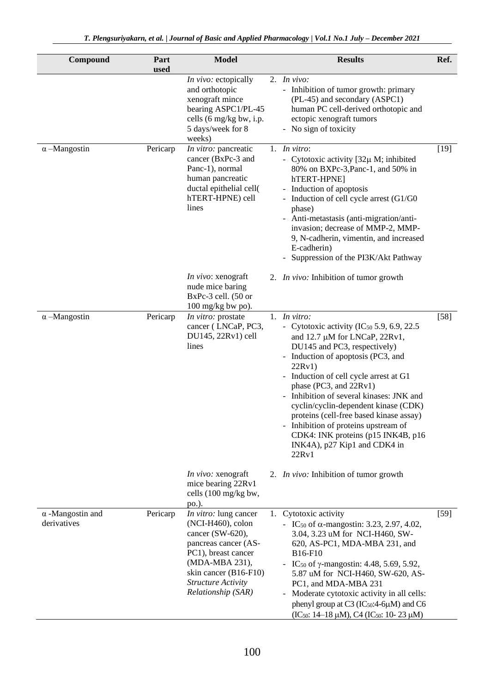| Compound                               | Part<br>used | Model                                                                                                                                                                                                   | <b>Results</b>                                                                                                                                                                                                                                                                                                                                                                                                                                                                                                            | Ref.   |
|----------------------------------------|--------------|---------------------------------------------------------------------------------------------------------------------------------------------------------------------------------------------------------|---------------------------------------------------------------------------------------------------------------------------------------------------------------------------------------------------------------------------------------------------------------------------------------------------------------------------------------------------------------------------------------------------------------------------------------------------------------------------------------------------------------------------|--------|
|                                        |              | In vivo: ectopically<br>and orthotopic<br>xenograft mince<br>bearing ASPC1/PL-45<br>cells (6 mg/kg bw, i.p.<br>5 days/week for 8<br>weeks)                                                              | 2. $In vivo:$<br>- Inhibition of tumor growth: primary<br>(PL-45) and secondary (ASPC1)<br>human PC cell-derived orthotopic and<br>ectopic xenograft tumors<br>- No sign of toxicity                                                                                                                                                                                                                                                                                                                                      |        |
| $\alpha$ –Mangostin                    | Pericarp     | In vitro: pancreatic<br>cancer (BxPc-3 and<br>Panc-1), normal<br>human pancreatic<br>ductal epithelial cell(<br>hTERT-HPNE) cell<br>lines                                                               | 1. In vitro:<br>- Cytotoxic activity [32µ M; inhibited<br>80% on BXPc-3, Panc-1, and 50% in<br>hTERT-HPNE]<br>- Induction of apoptosis<br>- Induction of cell cycle arrest (G1/G0<br>phase)<br>- Anti-metastasis (anti-migration/anti-<br>invasion; decrease of MMP-2, MMP-<br>9, N-cadherin, vimentin, and increased<br>E-cadherin)<br>- Suppression of the PI3K/Akt Pathway                                                                                                                                             | $[19]$ |
|                                        |              | <i>In vivo</i> : xenograft<br>nude mice baring<br>$BxPc-3$ cell. $(50$ or<br>$100$ mg/kg bw po).                                                                                                        | 2. <i>In vivo</i> : Inhibition of tumor growth                                                                                                                                                                                                                                                                                                                                                                                                                                                                            |        |
| $\alpha$ –Mangostin                    | Pericarp     | In vitro: prostate<br>cancer (LNCaP, PC3,<br>DU145, 22Rv1) cell<br>lines                                                                                                                                | 1. In vitro:<br>- Cytotoxic activity (IC <sub>50</sub> 5.9, 6.9, 22.5)<br>and $12.7 \mu M$ for LNCaP, $22Rv1$ ,<br>DU145 and PC3, respectively)<br>- Induction of apoptosis (PC3, and<br>22Rv1)<br>- Induction of cell cycle arrest at G1<br>phase (PC3, and 22Rv1)<br>- Inhibition of several kinases: JNK and<br>cyclin/cyclin-dependent kinase (CDK)<br>proteins (cell-free based kinase assay)<br>- Inhibition of proteins upstream of<br>CDK4: INK proteins (p15 INK4B, p16<br>INK4A), p27 Kip1 and CDK4 in<br>22Rv1 | $[58]$ |
|                                        |              | <i>In vivo:</i> xenograft<br>mice bearing 22Rv1<br>cells (100 mg/kg bw,<br>po.).                                                                                                                        | 2. In vivo: Inhibition of tumor growth                                                                                                                                                                                                                                                                                                                                                                                                                                                                                    |        |
| $\alpha$ -Mangostin and<br>derivatives | Pericarp     | In vitro: lung cancer<br>$(NCI-H460)$ , colon<br>cancer (SW-620),<br>pancreas cancer (AS-<br>PC1), breast cancer<br>(MDA-MBA 231),<br>skin cancer (B16-F10)<br>Structure Activity<br>Relationship (SAR) | 1. Cytotoxic activity<br>- IC <sub>50</sub> of $\alpha$ -mangostin: 3.23, 2.97, 4.02,<br>3.04, 3.23 uM for NCI-H460, SW-<br>620, AS-PC1, MDA-MBA 231, and<br>B <sub>16</sub> -F <sub>10</sub><br>- IC <sub>50</sub> of $\gamma$ -mangostin: 4.48, 5.69, 5.92,<br>5.87 uM for NCI-H460, SW-620, AS-<br>PC1, and MDA-MBA 231<br>Moderate cytotoxic activity in all cells:<br>phenyl group at C3 (IC <sub>50</sub> :4-6µM) and C6<br>$(IC_{50}: 14-18 \mu M), C4 (IC_{50}: 10-23 \mu M)$                                     | $[59]$ |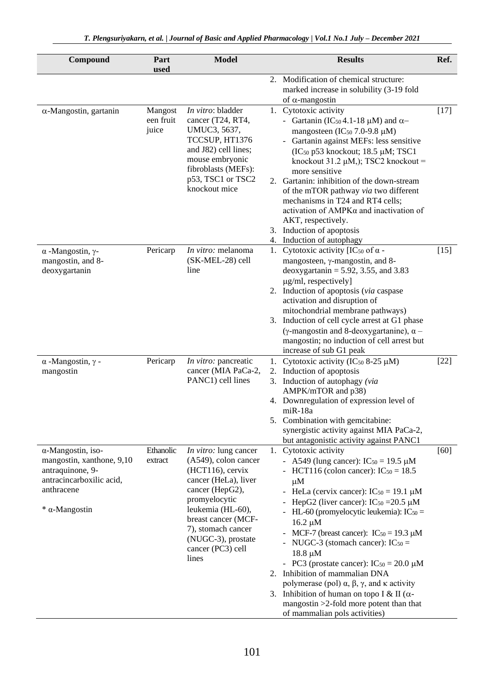|                                                                                                                                                 | usea                          |                                                                                                                                                                                                                                                               |    |                                                                                                                                                                                                                                                                                                                                                                                                                                                                                                                                                                                                                                                     |        |
|-------------------------------------------------------------------------------------------------------------------------------------------------|-------------------------------|---------------------------------------------------------------------------------------------------------------------------------------------------------------------------------------------------------------------------------------------------------------|----|-----------------------------------------------------------------------------------------------------------------------------------------------------------------------------------------------------------------------------------------------------------------------------------------------------------------------------------------------------------------------------------------------------------------------------------------------------------------------------------------------------------------------------------------------------------------------------------------------------------------------------------------------------|--------|
|                                                                                                                                                 |                               |                                                                                                                                                                                                                                                               |    | 2. Modification of chemical structure:<br>marked increase in solubility (3-19 fold<br>of $\alpha$ -mangostin                                                                                                                                                                                                                                                                                                                                                                                                                                                                                                                                        |        |
| $\alpha$ -Mangostin, gartanin                                                                                                                   | Mangost<br>een fruit<br>juice | In vitro: bladder<br>cancer (T24, RT4,<br>UMUC3, 5637,<br>TCCSUP, HT1376<br>and J82) cell lines;<br>mouse embryonic<br>fibroblasts (MEFs):<br>p53, TSC1 or TSC2<br>knockout mice                                                                              |    | 1. Cytotoxic activity<br>- Gartanin (IC <sub>50</sub> 4.1-18 $\mu$ M) and $\alpha$ -<br>mangosteen (IC <sub>50</sub> 7.0-9.8 µM)<br>Gartanin against MEFs: less sensitive<br>$(IC50 p53 knockout; 18.5 µM; TSC1)$<br>knockout $31.2 \mu M$ ,); TSC2 knockout =<br>more sensitive<br>2. Gartanin: inhibition of the down-stream<br>of the mTOR pathway via two different<br>mechanisms in T24 and RT4 cells;<br>activation of AMPKa and inactivation of<br>AKT, respectively.<br>3. Induction of apoptosis<br>4. Induction of autophagy                                                                                                              | $[17]$ |
| $\alpha$ -Mangostin, $\gamma$ -<br>mangostin, and 8-<br>deoxygartanin                                                                           | Pericarp                      | In vitro: melanoma<br>(SK-MEL-28) cell<br>line                                                                                                                                                                                                                |    | 1. Cytotoxic activity [IC <sub>50</sub> of $\alpha$ -<br>mangosteen, y-mangostin, and 8-<br>deoxygartanin = $5.92$ , 3.55, and 3.83<br>µg/ml, respectively]<br>2. Induction of apoptosis (via caspase<br>activation and disruption of<br>mitochondrial membrane pathways)<br>3. Induction of cell cycle arrest at G1 phase<br>(γ-mangostin and 8-deoxygartanine), $\alpha$ –<br>mangostin; no induction of cell arrest but<br>increase of sub G1 peak                                                                                                                                                                                               | $[15]$ |
| $\alpha$ -Mangostin, $\gamma$ -<br>mangostin                                                                                                    | Pericarp                      | In vitro: pancreatic<br>cancer (MIA PaCa-2,<br>PANC1) cell lines                                                                                                                                                                                              | 1. | Cytotoxic activity (IC <sub>50</sub> 8-25 $\mu$ M)<br>2. Induction of apoptosis<br>3. Induction of autophagy (via<br>AMPK/mTOR and p38)<br>4. Downregulation of expression level of<br>$miR-18a$<br>5. Combination with gemcitabine:<br>synergistic activity against MIA PaCa-2,<br>but antagonistic activity against PANC1                                                                                                                                                                                                                                                                                                                         | $[22]$ |
| $\alpha$ -Mangostin, iso-<br>mangostin, xanthone, 9,10<br>antraquinone, 9-<br>antracincarboxilic acid,<br>anthracene<br>$*$ $\alpha$ -Mangostin | Ethanolic<br>extract          | <i>In vitro:</i> lung cancer<br>(A549), colon cancer<br>$(HCT116)$ , cervix<br>cancer (HeLa), liver<br>cancer (HepG2),<br>promyelocytic<br>leukemia (HL-60),<br>breast cancer (MCF-<br>7), stomach cancer<br>(NUGC-3), prostate<br>cancer (PC3) cell<br>lines |    | 1. Cytotoxic activity<br>- A549 (lung cancer): $IC_{50} = 19.5 \mu M$<br>- HCT116 (colon cancer): $IC_{50} = 18.5$<br>μM<br>- HeLa (cervix cancer): $IC_{50} = 19.1 \mu M$<br>HepG2 (liver cancer): $IC_{50} = 20.5 \mu M$<br>HL-60 (promyelocytic leukemia): $IC_{50} =$<br>$16.2 \mu M$<br>MCF-7 (breast cancer): $IC_{50} = 19.3 \mu M$<br>$\overline{\phantom{a}}$<br>NUGC-3 (stomach cancer): $IC_{50} =$<br>$18.8 \mu M$<br>- PC3 (prostate cancer): $IC_{50} = 20.0 \mu M$<br>2. Inhibition of mammalian DNA<br>polymerase (pol) $\alpha$ , $\beta$ , $\gamma$ , and $\kappa$ activity<br>3. Inhibition of human on topo I & II ( $\alpha$ - | [60]   |

**Model Results Ref.**

 $Compound$ 

Part

mangostin >2-fold more potent than that

of mammalian pols activities)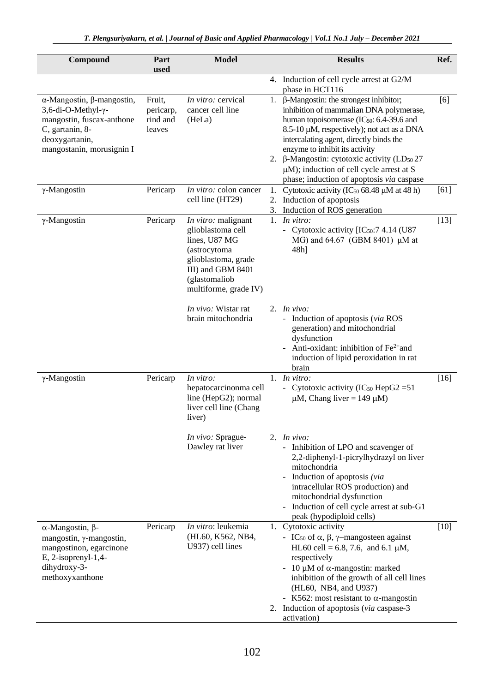| Compound                                                                                                                                                      | Part<br>used                              | <b>Model</b>                                                                                                                                                    |          | <b>Results</b>                                                                                                                                                                                                                                                                                                                                                                                                                      | Ref.   |
|---------------------------------------------------------------------------------------------------------------------------------------------------------------|-------------------------------------------|-----------------------------------------------------------------------------------------------------------------------------------------------------------------|----------|-------------------------------------------------------------------------------------------------------------------------------------------------------------------------------------------------------------------------------------------------------------------------------------------------------------------------------------------------------------------------------------------------------------------------------------|--------|
|                                                                                                                                                               |                                           |                                                                                                                                                                 |          | 4. Induction of cell cycle arrest at G2/M<br>phase in HCT116                                                                                                                                                                                                                                                                                                                                                                        |        |
| $\alpha$ -Mangostin, $\beta$ -mangostin,<br>3,6-di-O-Methyl-γ-<br>mangostin, fuscax-anthone<br>C, gartanin, 8-<br>deoxygartanin,<br>mangostanin, morusignin I | Fruit,<br>pericarp,<br>rind and<br>leaves | In vitro: cervical<br>cancer cell line<br>(HeLa)                                                                                                                | 1.       | $\beta$ -Mangostin: the strongest inhibitor;<br>inhibition of mammalian DNA polymerase,<br>human topoisomerase (IC <sub>50</sub> : 6.4-39.6 and<br>8.5-10 µM, respectively); not act as a DNA<br>intercalating agent, directly binds the<br>enzyme to inhibit its activity<br>2. β-Mangostin: cytotoxic activity (LD <sub>50</sub> 27<br>$\mu$ M); induction of cell cycle arrest at S<br>phase; induction of apoptosis via caspase | [6]    |
| $\gamma$ -Mangostin                                                                                                                                           | Pericarp                                  | In vitro: colon cancer<br>cell line (HT29)                                                                                                                      | 2.<br>3. | 1. Cytotoxic activity ( $IC_{50}$ 68.48 $\mu$ M at 48 h)<br>Induction of apoptosis<br>Induction of ROS generation                                                                                                                                                                                                                                                                                                                   | [61]   |
| $\gamma$ -Mangostin                                                                                                                                           | Pericarp                                  | In vitro: malignant<br>glioblastoma cell<br>lines, U87 MG<br>(astrocytoma<br>glioblastoma, grade<br>III) and GBM 8401<br>(glastomaliob<br>multiforme, grade IV) |          | 1. In vitro:<br>- Cytotoxic activity [IC50:7 4.14 (U87<br>MG) and 64.67 (GBM 8401) µM at<br>$48h$ ]                                                                                                                                                                                                                                                                                                                                 | $[13]$ |
|                                                                                                                                                               |                                           | In vivo: Wistar rat<br>brain mitochondria                                                                                                                       |          | 2. In vivo:<br>- Induction of apoptosis (via ROS<br>generation) and mitochondrial<br>dysfunction<br>- Anti-oxidant: inhibition of $Fe2+$ and<br>induction of lipid peroxidation in rat<br>brain                                                                                                                                                                                                                                     |        |
| $\gamma$ -Mangostin                                                                                                                                           | Pericarp                                  | In vitro:<br>hepatocarcinonma cell<br>line (HepG2); normal<br>liver cell line (Chang<br>liver)                                                                  |          | 1. $In vitro:$<br>- Cytotoxic activity (IC <sub>50</sub> HepG2 = 51<br>$\mu$ M, Chang liver = 149 $\mu$ M)                                                                                                                                                                                                                                                                                                                          | $[16]$ |
|                                                                                                                                                               |                                           | In vivo: Sprague-<br>Dawley rat liver                                                                                                                           |          | 2. In vivo:<br>- Inhibition of LPO and scavenger of<br>2,2-diphenyl-1-picrylhydrazyl on liver<br>mitochondria<br>Induction of apoptosis (via<br>intracellular ROS production) and<br>mitochondrial dysfunction<br>Induction of cell cycle arrest at sub-G1<br>peak (hypodiploid cells)                                                                                                                                              |        |
| $α$ -Mangostin, $β$ -<br>mangostin, y-mangostin,<br>mangostinon, egarcinone<br>E, 2-isoprenyl-1,4-<br>dihydroxy-3-<br>methoxyxanthone                         | Pericarp                                  | In vitro: leukemia<br>(HL60, K562, NB4,<br>U937) cell lines                                                                                                     |          | 1. Cytotoxic activity<br>- IC <sub>50</sub> of $\alpha$ , $\beta$ , $\gamma$ -mangosteen against<br>HL60 cell = 6.8, 7.6, and 6.1 $\mu$ M,<br>respectively<br>- 10 $\mu$ M of $\alpha$ -mangostin: marked<br>inhibition of the growth of all cell lines<br>(HL60, NB4, and U937)<br>- K562: most resistant to $\alpha$ -mangostin<br>2. Induction of apoptosis (via caspase-3<br>activation)                                        | $[10]$ |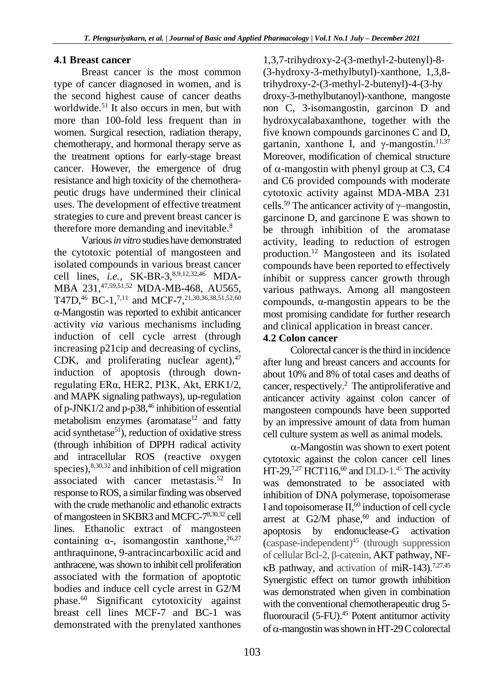#### **4.1 Breast cancer**

Breast cancer is the most common type of cancer diagnosed in women, and is the second highest cause of cancer deaths worldwide. <sup>51</sup> It also occurs in men, but with more than 100-fold less frequent than in women. Surgical resection, radiation therapy, chemotherapy, and hormonal therapy serve as the treatment options for early-stage breast cancer. However, the emergence of drug resistance and high toxicity of the chemotherapeutic drugs have undermined their clinical uses. The development of effective treatment strategies to cure and prevent breast cancer is therefore more demanding and inevitable.<sup>8</sup>

Various *in vitro* studies have demonstrated the cytotoxic potential of mangosteen and isolated compounds in various breast cancer cell lines, *i.e.*, SK-BR-3,<sup>8,9,12,32,46</sup> MDA-MBA 231, 47,59,51,52 MDA-MB-468, AU565, T47D,<sup>46</sup> BC-1,<sup>7,11</sup> and MCF-7,<sup>21,30,36,38,51,52,60</sup> α-Mangostin was reported to exhibit anticancer activity *via* various mechanisms including induction of cell cycle arrest (through increasing p21cip and decreasing of cyclins, CDK, and proliferating nuclear agent), 47 induction of apoptosis (through downregulating ERα, HER2, PI3K, Akt, ERK1/2, and MAPK signaling pathways), up-regulation of p-JNK1/2 and p-p38, 46 inhibition of essential metabolism enzymes (aromatase<sup>12</sup> and fatty acid synthetase $51$ ), reduction of oxidative stress (through inhibition of DPPH radical activity and intracellular ROS (reactive oxygen species), <sup>8,30,32</sup> and inhibition of cell migration associated with cancer metastasis. 52 In response to ROS, a similar finding was observed with the crude methanolic and ethanolic extracts of mangosteen in SKBR3 and MCFC-78,30,32 cell lines. Ethanolic extract of mangosteen containing  $\alpha$ -, isomangostin xanthone,  $^{26,27}$ anthraquinone, 9-antracincarboxilic acid and anthracene, was shown to inhibit cell proliferation associated with the formation of apoptotic bodies and induce cell cycle arrest in G2/M phase. <sup>60</sup> Significant cytotoxicity against breast cell lines MCF-7 and BC-1 was demonstrated with the prenylated xanthones

1,3,7-trihydroxy-2-(3-methyl-2-butenyl)-8- (3-hydroxy-3-methylbutyl)-xanthone, 1,3,8 trihydroxy-2-(3-methyl-2-butenyl)-4-(3-hy droxy-3-methylbutanoyl)-xanthone, mangoste non C, 3-isomangostin, garcinon D and hydroxycalabaxanthone, together with the five known compounds garcinones C and D, gartanin, xanthone I, and  $\gamma$ -mangostin.<sup>11,37</sup> Moreover, modification of chemical structure of  $\alpha$ -mangostin with phenyl group at C3, C4 and C6 provided compounds with moderate cytotoxic activity against MDA-MBA 231 cells.<sup>59</sup> The anticancer activity of  $\gamma$ -mangostin, garcinone D, and garcinone E was shown to be through inhibition of the aromatase activity, leading to reduction of estrogen production. <sup>12</sup> Mangosteen and its isolated compounds have been reported to effectively inhibit or suppress cancer growth through various pathways. Among all mangosteen compounds, α-mangostin appears to be the most promising candidate for further research and clinical application in breast cancer.

#### **4.2 Colon cancer**

Colorectal cancer is the third in incidence after lung and breast cancers and accounts for about 10% and 8% of total cases and deaths of cancer, respectively. 2 The antiproliferative and anticancer activity against colon cancer of mangosteen compounds have been supported by an impressive amount of data from human cell culture system as well as animal models*.*

 $\alpha$ -Mangostin was shown to exert potent cytotoxic against the colon cancer cell lines HT-29,<sup>7,27</sup> HCT116,<sup>60</sup> and DLD-1.<sup>45</sup> The activity was demonstrated to be associated with inhibition of DNA polymerase, topoisomerase I and topoisomerase  $II, 60$  induction of cell cycle arrest at G2/M phase, $60$  and induction of apoptosis by endonuclease-G activation (caspase-independent)<sup>45</sup> (through suppression of cellular Bcl-2, β-catenin, AKT pathway, NF-  $\kappa$ B pathway, and activation of miR-143).<sup>7,27,45</sup> Synergistic effect on tumor growth inhibition was demonstrated when given in combination with the conventional chemotherapeutic drug 5 fluorouracil (5-FU). <sup>45</sup> Potent antitumor activity of  $\alpha$ -mangostin was shown in HT-29 C colorectal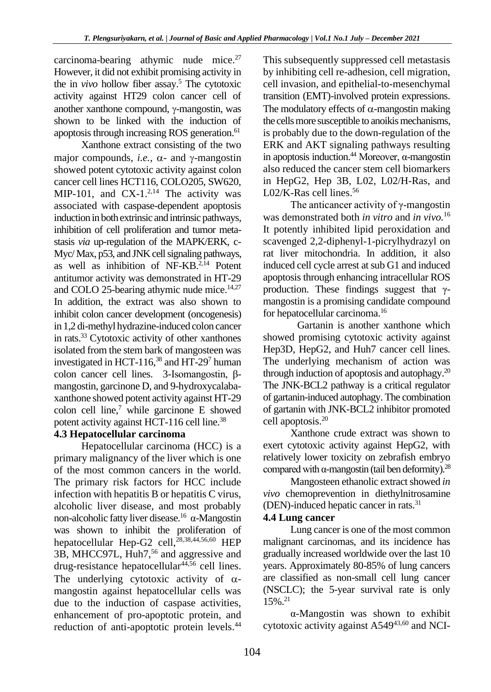carcinoma-bearing athymic nude mice. 27 However, it did not exhibit promising activity in the in *vivo* hollow fiber assay. <sup>5</sup> The cytotoxic activity against HT29 colon cancer cell of another xanthone compound,  $\gamma$ -mangostin, was shown to be linked with the induction of apoptosis through increasing ROS generation. 61

Xanthone extract consisting of the two major compounds, *i.e.*,  $\alpha$ - and  $\gamma$ -mangostin showed potent cytotoxic activity against colon cancer cell lines HCT116, COLO205, SW620, MIP-101, and  $CX-1.^{2,14}$  The activity was associated with caspase-dependent apoptosis induction in both extrinsic and intrinsic pathways, inhibition of cell proliferation and tumor metastasis *via* up-regulation of the MAPK/ERK, c-Myc/ Max, p53, and JNK cell signaling pathways, as well as inhibition of NF-KB. 2,14 Potent antitumor activity was demonstrated in HT-29 and COLO 25-bearing athymic nude mice. 14,27 In addition, the extract was also shown to inhibit colon cancer development (oncogenesis) in 1,2 di-methyl hydrazine-induced colon cancer in rats. <sup>33</sup> Cytotoxic activity of other xanthones isolated from the stem bark of mangosteen was investigated in HCT-116, 38 and HT-29<sup>7</sup> human colon cancer cell lines. 3-Isomangostin, βmangostin, garcinone D, and 9-hydroxycalabaxanthone showed potent activity against HT-29 colon cell line, <sup>7</sup> while garcinone E showed potent activity against HCT-116 cell line.<sup>38</sup>

#### **4.3 Hepatocellular carcinoma**

Hepatocellular carcinoma (HCC) is a primary malignancy of the liver which is one of the most common cancers in the world. The primary risk factors for HCC include infection with hepatitis B or hepatitis C virus, alcoholic liver disease, and most probably non-alcoholic fatty liver disease. <sup>16</sup> α-Mangostin was shown to inhibit the proliferation of hepatocellular Hep-G2 cell, 28,38,44,56,60 HEP 3B, MHCC97L, Huh7, 56 and aggressive and drug-resistance hepatocellular<sup>44,56</sup> cell lines. The underlying cytotoxic activity of  $\alpha$ mangostin against hepatocellular cells was due to the induction of caspase activities, enhancement of pro-apoptotic protein, and reduction of anti-apoptotic protein levels.<sup>44</sup>

This subsequently suppressed cell metastasis by inhibiting cell re-adhesion, cell migration, cell invasion, and epithelial-to-mesenchymal transition (EMT)-involved protein expressions. The modulatory effects of  $\alpha$ -mangostin making the cells more susceptible to anoikis mechanisms, is probably due to the down-regulation of the ERK and AKT signaling pathways resulting in apoptosis induction. <sup>44</sup> Moreover, α-mangostin also reduced the cancer stem cell biomarkers in HepG2, Hep 3B, L02, L02/H-Ras, and L02/K-Ras cell lines. 56

The anticancer activity of  $\gamma$ -mangostin was demonstrated both *in vitro* and *in vivo.* 16 It potently inhibited lipid peroxidation and scavenged 2,2-diphenyl-1-picrylhydrazyl on rat liver mitochondria. In addition, it also induced cell cycle arrest at sub G1 and induced apoptosis through enhancing intracellular ROS production. These findings suggest that  $γ$ mangostin is a promising candidate compound for hepatocellular carcinoma. 16

Gartanin is another xanthone which showed promising cytotoxic activity against Hep3D, HepG2, and Huh7 cancer cell lines. The underlying mechanism of action was through induction of apoptosis and autophagy. 20 The JNK-BCL2 pathway is a critical regulator of gartanin-induced autophagy. The combination of gartanin with JNK-BCL2 inhibitor promoted cell apoptosis. 20

Xanthone crude extract was shown to exert cytotoxic activity against HepG2, with relatively lower toxicity on zebrafish embryo compared with  $\alpha$ -mangostin (tail ben deformity).<sup>28</sup>

Mangosteen ethanolic extract showed *in vivo* chemoprevention in diethylnitrosamine (DEN)-induced hepatic cancer in rats. 31

#### **4.4 Lung cancer**

Lung cancer is one of the most common malignant carcinomas, and its incidence has gradually increased worldwide over the last 10 years. Approximately 80-85% of lung cancers are classified as non-small cell lung cancer (NSCLC); the 5-year survival rate is only 15%. 21

α-Mangostin was shown to exhibit cytotoxic activity against A54943,60 and NCI-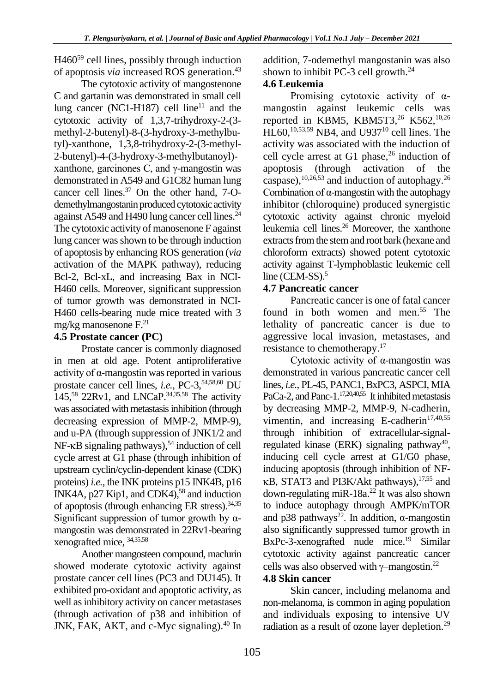H460<sup>59</sup> cell lines, possibly through induction of apoptosis *via* increased ROS generation. 43

The cytotoxic activity of mangostenone C and gartanin was demonstrated in small cell lung cancer (NC1-H187) cell line<sup>11</sup> and the cytotoxic activity of 1,3,7-trihydroxy-2-(3 methyl-2-butenyl)-8-(3-hydroxy-3-methylbutyl)-xanthone, 1,3,8-trihydroxy-2-(3-methyl-2-butenyl)-4-(3-hydroxy-3-methylbutanoyl) xanthone, garcinones C, and  $\gamma$ -mangostin was demonstrated in A549 and G1C82 human lung cancer cell lines. <sup>37</sup> On the other hand, 7-Odemethylmangostanin produced cytotoxic activity against A549 and H490 lung cancer cell lines.<sup>24</sup> The cytotoxic activity of manosenone F against lung cancer was shown to be through induction of apoptosis by enhancing ROS generation (*via*  activation of the MAPK pathway), reducing Bcl-2, Bcl-xL, and increasing Bax in NCI-H460 cells. Moreover, significant suppression of tumor growth was demonstrated in NCI‐ H460 cells-bearing nude mice treated with 3 mg/kg manosenone F. 21

#### **4.5 Prostate cancer (PC)**

Prostate cancer is commonly diagnosed in men at old age. Potent antiproliferative activity of α-mangostin was reported in various prostate cancer cell lines, *i.e.,* PC-3, 54,58,60 DU 145, <sup>58</sup> 22Rv1, and LNCaP. 34,35,58 The activity was associated with metastasis inhibition (through decreasing expression of MMP-2, MMP-9), and u-PA (through suppression of JNK1/2 and NF-KB signaling pathways),<sup>54</sup> induction of cell cycle arrest at G1 phase (through inhibition of upstream cyclin/cyclin-dependent kinase (CDK) proteins) *i.e.,* the INK proteins p15 INK4B, p16 INK4A, p27 Kip1, and CDK4), 58 and induction of apoptosis (through enhancing ER stress).<sup>34,35</sup> Significant suppression of tumor growth by  $\alpha$ mangostin was demonstrated in 22Rv1-bearing xenografted mice, 34,35,58

Another mangosteen compound, maclurin showed moderate cytotoxic activity against prostate cancer cell lines (PC3 and DU145). It exhibited pro-oxidant and apoptotic activity, as well as inhibitory activity on cancer metastases (through activation of p38 and inhibition of JNK, FAK, AKT, and c-Myc signaling).<sup>40</sup> In addition, 7-odemethyl mangostanin was also shown to inhibit PC-3 cell growth. 24

#### **4.6 Leukemia**

Promising cytotoxic activity of αmangostin against leukemic cells was reported in KBM5, KBM5T3, <sup>26</sup> K562, 10,26  $HL60$ ,  $^{10,53,59}$  NB4, and U937<sup>10</sup> cell lines. The activity was associated with the induction of cell cycle arrest at G1 phase, 26 induction of apoptosis (through activation of the caspase),  $^{10,26,53}$  and induction of autophagy.<sup>26</sup> Combination of α-mangostin with the autophagy inhibitor (chloroquine) produced synergistic cytotoxic activity against chronic myeloid leukemia cell lines. <sup>26</sup> Moreover, the xanthone extracts from the stem and root bark (hexane and chloroform extracts) showed potent cytotoxic activity against T-lymphoblastic leukemic cell line (CEM-SS). 5

#### **4.7 Pancreatic cancer**

Pancreatic cancer is one of fatal cancer found in both women and men. <sup>55</sup> The lethality of pancreatic cancer is due to aggressive local invasion, metastases, and resistance to chemotherapy.<sup>17</sup>

Cytotoxic activity of α-mangostin was demonstrated in various pancreatic cancer cell lines, *i.e.,* PL-45, PANC1, BxPC3, ASPCI, MIA PaCa-2, and Panc-1.<sup>17,20,40,55</sup> It inhibited metastasis by decreasing MMP-2, MMP-9, N-cadherin, vimentin, and increasing E-cadherin<sup>17,40,55</sup> through inhibition of extracellular-signalregulated kinase (ERK) signaling pathway<sup>40</sup>, inducing cell cycle arrest at G1/G0 phase, inducing apoptosis (through inhibition of NF- B, STAT3 and PI3K/Akt pathways), 17,55 and down-regulating miR-18a. 22 It was also shown to induce autophagy through AMPK/mTOR and p38 pathways<sup>22</sup>. In addition,  $\alpha$ -mangostin also significantly suppressed tumor growth in BxPc-3-xenografted nude mice. <sup>19</sup> Similar cytotoxic activity against pancreatic cancer cells was also observed with  $\gamma$ -mangostin.<sup>22</sup>

#### **4.8 Skin cancer**

Skin cancer, including melanoma and non-melanoma, is common in aging population and individuals exposing to intensive UV radiation as a result of ozone layer depletion.<sup>29</sup>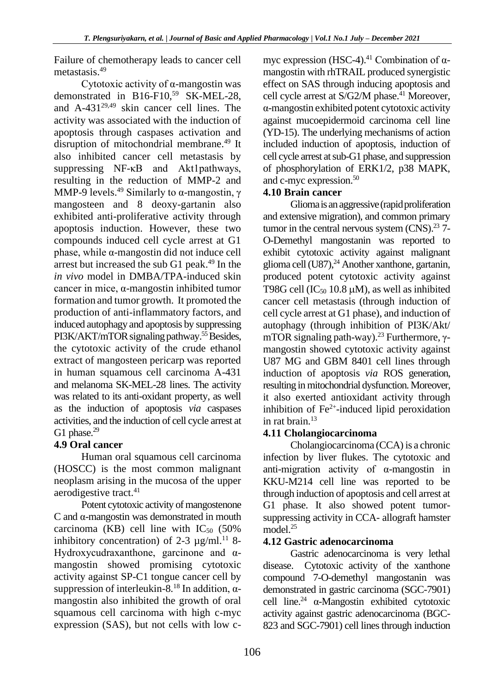Failure of chemotherapy leads to cancer cell metastasis. 49

Cytotoxic activity of α-mangostin was demonstrated in B16-F10, <sup>59</sup> SK-MEL-28, and A-43129,49 skin cancer cell lines. The activity was associated with the induction of apoptosis through caspases activation and disruption of mitochondrial membrane. 49 It also inhibited cancer cell metastasis by suppressing NF-κB and Akt1pathways, resulting in the reduction of MMP-2 and MMP-9 levels.<sup>49</sup> Similarly to  $\alpha$ -mangostin,  $\gamma$ mangosteen and 8 deoxy-gartanin also exhibited anti-proliferative activity through apoptosis induction. However, these two compounds induced cell cycle arrest at G1 phase, while α-mangostin did not induce cell arrest but increased the sub G1 peak. 49 In the *in vivo* model in DMBA/TPA-induced skin cancer in mice, α-mangostin inhibited tumor formation and tumor growth. It promoted the production of anti-inflammatory factors, and induced autophagy and apoptosis by suppressing PI3K/AKT/mTOR signaling pathway.<sup>55</sup> Besides, the cytotoxic activity of the crude ethanol extract of mangosteen pericarp was reported in human squamous cell carcinoma A-431 and melanoma SK-MEL-28 lines. The activity was related to its anti-oxidant property, as well as the induction of apoptosis *via* caspases activities, and the induction of cell cycle arrest at G1 phase.<sup>29</sup>

## **4.9 Oral cancer**

Human oral squamous cell carcinoma (HOSCC) is the most common malignant neoplasm arising in the mucosa of the upper aerodigestive tract.<sup>41</sup>

Potent cytotoxic activity of mangostenone C and α-mangostin was demonstrated in mouth carcinoma (KB) cell line with  $IC_{50}$  (50%) inhibitory concentration) of 2-3  $\mu$ g/ml.<sup>11</sup> 8-Hydroxycudraxanthone, garcinone and αmangostin showed promising cytotoxic activity against SP-C1 tongue cancer cell by suppression of interleukin-8.<sup>18</sup> In addition,  $\alpha$ mangostin also inhibited the growth of oral squamous cell carcinoma with high c-myc expression (SAS), but not cells with low c-

myc expression (HSC-4).<sup>41</sup> Combination of  $\alpha$ mangostin with rhTRAIL produced synergistic effect on SAS through inducing apoptosis and cell cycle arrest at S/G2/M phase.<sup>41</sup> Moreover, α-mangostin exhibited potent cytotoxic activity against mucoepidermoid carcinoma cell line (YD-15). The underlying mechanisms of action included induction of apoptosis, induction of cell cycle arrest at sub-G1 phase, and suppression of phosphorylation of ERK1/2, p38 MAPK, and c-myc expression. 50

#### **4.10 Brain cancer**

Glioma is an aggressive (rapid proliferation and extensive migration), and common primary tumor in the central nervous system (CNS).<sup>23</sup> 7-O-Demethyl mangostanin was reported to exhibit cytotoxic activity against malignant glioma cell (U87), <sup>24</sup> Another xanthone, gartanin, produced potent cytotoxic activity against T98G cell (IC<sub>50</sub> 10.8  $\mu$ M), as well as inhibited cancer cell metastasis (through induction of cell cycle arrest at G1 phase), and induction of autophagy (through inhibition of PI3K/Akt/ mTOR signaling path-way).<sup>23</sup> Furthermore, γmangostin showed cytotoxic activity against U87 MG and GBM 8401 cell lines through induction of apoptosis *via* ROS generation, resulting in mitochondrial dysfunction. Moreover, it also exerted antioxidant activity through inhibition of  $Fe<sup>2+</sup>$ -induced lipid peroxidation in rat brain. 13

#### **4.11 Cholangiocarcinoma**

Cholangiocarcinoma (CCA) is a chronic infection by liver flukes. The cytotoxic and anti-migration activity of α-mangostin in KKU-M214 cell line was reported to be through induction of apoptosis and cell arrest at G1 phase. It also showed potent tumorsuppressing activity in CCA- allograft hamster model. 25

#### **4.12 Gastric adenocarcinoma**

Gastric adenocarcinoma is very lethal disease. Cytotoxic activity of the xanthone compound 7-O-demethyl mangostanin was demonstrated in gastric carcinoma (SGC-7901) cell line.<sup>24</sup>  $\alpha$ -Mangostin exhibited cytotoxic activity against gastric adenocarcinoma (BGC-823 and SGC-7901) cell lines through induction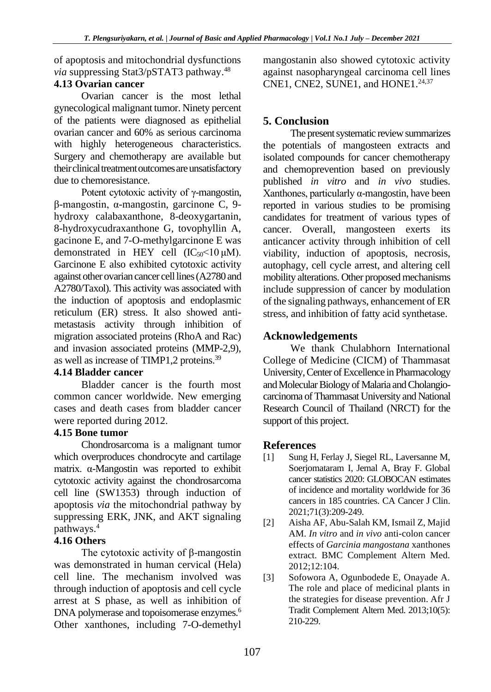of apoptosis and mitochondrial dysfunctions *via* suppressing Stat3/pSTAT3 pathway. 48

#### **4.13 Ovarian cancer**

Ovarian cancer is the most lethal gynecological malignant tumor. Ninety percent of the patients were diagnosed as epithelial ovarian cancer and 60% as serious carcinoma with highly heterogeneous characteristics. Surgery and chemotherapy are available but their clinical treatment outcomes are unsatisfactory due to chemoresistance.

Potent cytotoxic activity of γ-mangostin, β-mangostin, α-mangostin, garcinone C, 9 hydroxy calabaxanthone, 8-deoxygartanin, 8-hydroxycudraxanthone G, tovophyllin A, gacinone E, and 7-O-methylgarcinone E was demonstrated in HEY cell  $(IC_{50} < 10 \mu M)$ . Garcinone E also exhibited cytotoxic activity against other ovarian cancer cell lines (A2780 and A2780/Taxol). This activity was associated with the induction of apoptosis and endoplasmic reticulum (ER) stress. It also showed antimetastasis activity through inhibition of migration associated proteins (RhoA and Rac) and invasion associated proteins (MMP-2,9), as well as increase of TIMP1,2 proteins.<sup>39</sup>

## **4.14 Bladder cancer**

Bladder cancer is the fourth most common cancer worldwide. New emerging cases and death cases from bladder cancer were reported during 2012.

## **4.15 Bone tumor**

Chondrosarcoma is a malignant tumor which overproduces chondrocyte and cartilage matrix. α-Mangostin was reported to exhibit cytotoxic activity against the chondrosarcoma cell line (SW1353) through induction of apoptosis *via* the mitochondrial pathway by suppressing ERK, JNK, and AKT signaling pathways. 4

## **4.16 Others**

The cytotoxic activity of β-mangostin was demonstrated in human cervical (Hela) cell line. The mechanism involved was through induction of apoptosis and cell cycle arrest at S phase, as well as inhibition of DNA polymerase and topoisomerase enzymes. 6 Other xanthones, including 7-O-demethyl mangostanin also showed cytotoxic activity against nasopharyngeal carcinoma cell lines CNE1, CNE2, SUNE1, and HONE1. 24,37

# **5. Conclusion**

The present systematic review summarizes the potentials of mangosteen extracts and isolated compounds for cancer chemotherapy and chemoprevention based on previously published *in vitro* and *in vivo* studies. Xanthones, particularly α-mangostin, have been reported in various studies to be promising candidates for treatment of various types of cancer. Overall, mangosteen exerts its anticancer activity through inhibition of cell viability, induction of apoptosis, necrosis, autophagy, cell cycle arrest, and altering cell mobility alterations. Other proposed mechanisms include suppression of cancer by modulation of the signaling pathways, enhancement of ER stress, and inhibition of fatty acid synthetase.

# **Acknowledgements**

We thank Chulabhorn International College of Medicine (CICM) of Thammasat University, Center of Excellence in Pharmacology and Molecular Biology of Malaria and Cholangiocarcinoma of Thammasat University and National Research Council of Thailand (NRCT) for the support of this project.

## **References**

- [1] Sung H, Ferlay J, Siegel RL, Laversanne M, Soerjomataram I, Jemal A, Bray F. Global cancer statistics 2020: GLOBOCAN estimates of incidence and mortality worldwide for 36 cancers in 185 countries. CA Cancer J Clin. 2021;71(3):209-249.
- [2] Aisha AF, Abu-Salah KM, Ismail Z, Majid AM. *In vitro* and *in vivo* anti-colon cancer effects of *Garcinia mangostana* xanthones extract. BMC Complement Altern Med. 2012;12:104.
- [3] Sofowora A, Ogunbodede E, Onayade A. The role and place of medicinal plants in the strategies for disease prevention. Afr J Tradit Complement Altern Med. 2013;10(5): 210-229.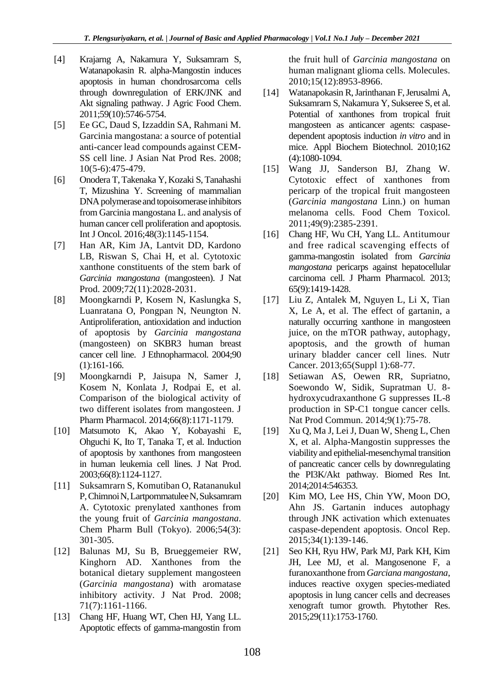- [4] Krajarng A, Nakamura Y, Suksamrarn S, Watanapokasin R. alpha-Mangostin induces apoptosis in human chondrosarcoma cells through downregulation of ERK/JNK and Akt signaling pathway. J Agric Food Chem. 2011;59(10):5746-5754.
- [5] Ee GC, Daud S, Izzaddin SA, Rahmani M. Garcinia mangostana: a source of potential anti-cancer lead compounds against CEM-SS cell line. J Asian Nat Prod Res. 2008; 10(5-6):475-479.
- [6] Onodera T, Takenaka Y, Kozaki S, Tanahashi T, Mizushina Y. Screening of mammalian DNA polymerase and topoisomerase inhibitors from Garcinia mangostana L. and analysis of human cancer cell proliferation and apoptosis. Int J Oncol. 2016;48(3):1145-1154.
- [7] Han AR, Kim JA, Lantvit DD, Kardono LB, Riswan S, Chai H, et al. Cytotoxic xanthone constituents of the stem bark of *Garcinia mangostana* (mangosteen). J Nat Prod. 2009;72(11):2028-2031.
- [8] Moongkarndi P, Kosem N, Kaslungka S, Luanratana O, Pongpan N, Neungton N. Antiproliferation, antioxidation and induction of apoptosis by *Garcinia mangostana* (mangosteen) on SKBR3 human breast cancer cell line. J Ethnopharmacol. 2004;90 (1):161-166.
- [9] Moongkarndi P, Jaisupa N, Samer J, Kosem N, Konlata J, Rodpai E, et al. Comparison of the biological activity of two different isolates from mangosteen. J Pharm Pharmacol. 2014;66(8):1171-1179.
- [10] Matsumoto K, Akao Y, Kobayashi E, Ohguchi K, Ito T, Tanaka T, et al. Induction of apoptosis by xanthones from mangosteen in human leukemia cell lines. J Nat Prod. 2003;66(8):1124-1127.
- [11] Suksamrarn S, Komutiban O, Ratananukul P, Chimnoi N, Lartpornmatulee N, Suksamrarn A. Cytotoxic prenylated xanthones from the young fruit of *Garcinia mangostana*. Chem Pharm Bull (Tokyo). 2006;54(3): 301-305.
- [12] Balunas MJ, Su B, Brueggemeier RW, Kinghorn AD. Xanthones from the botanical dietary supplement mangosteen (*Garcinia mangostana*) with aromatase inhibitory activity. J Nat Prod. 2008; 71(7):1161-1166.
- [13] Chang HF, Huang WT, Chen HJ, Yang LL. Apoptotic effects of gamma-mangostin from

the fruit hull of *Garcinia mangostana* on human malignant glioma cells. Molecules. 2010;15(12):8953-8966.

- [14] Watanapokasin R, Jarinthanan F, Jerusalmi A, Suksamrarn S, Nakamura Y, Sukseree S, et al. Potential of xanthones from tropical fruit mangosteen as anticancer agents: caspasedependent apoptosis induction *in vitro* and in mice. Appl Biochem Biotechnol. 2010;162 (4):1080-1094.
- [15] Wang JJ, Sanderson BJ, Zhang W. Cytotoxic effect of xanthones from pericarp of the tropical fruit mangosteen (*Garcinia mangostana* Linn.) on human melanoma cells. Food Chem Toxicol. 2011;49(9):2385-2391.
- [16] Chang HF, Wu CH, Yang LL. Antitumour and free radical scavenging effects of gamma-mangostin isolated from *Garcinia mangostana* pericarps against hepatocellular carcinoma cell. J Pharm Pharmacol. 2013; 65(9):1419-1428.
- [17] Liu Z, Antalek M, Nguyen L, Li X, Tian X, Le A, et al. The effect of gartanin, a naturally occurring xanthone in mangosteen juice, on the mTOR pathway, autophagy, apoptosis, and the growth of human urinary bladder cancer cell lines. Nutr Cancer. 2013;65(Suppl 1):68-77.
- [18] Setiawan AS, Oewen RR, Supriatno, Soewondo W, Sidik, Supratman U. 8 hydroxycudraxanthone G suppresses IL-8 production in SP-C1 tongue cancer cells. Nat Prod Commun. 2014;9(1):75-78.
- [19] Xu Q, Ma J, Lei J, Duan W, Sheng L, Chen X, et al. Alpha-Mangostin suppresses the viability and epithelial-mesenchymal transition of pancreatic cancer cells by downregulating the PI3K/Akt pathway. Biomed Res Int. 2014;2014:546353.
- [20] Kim MO, Lee HS, Chin YW, Moon DO, Ahn JS. Gartanin induces autophagy through JNK activation which extenuates caspase-dependent apoptosis. Oncol Rep. 2015;34(1):139-146.
- [21] Seo KH, Ryu HW, Park MJ, Park KH, Kim JH, Lee MJ, et al. Mangosenone F, a furanoxanthone from *Garciana mangostana*, induces reactive oxygen species-mediated apoptosis in lung cancer cells and decreases xenograft tumor growth. Phytother Res. 2015;29(11):1753-1760.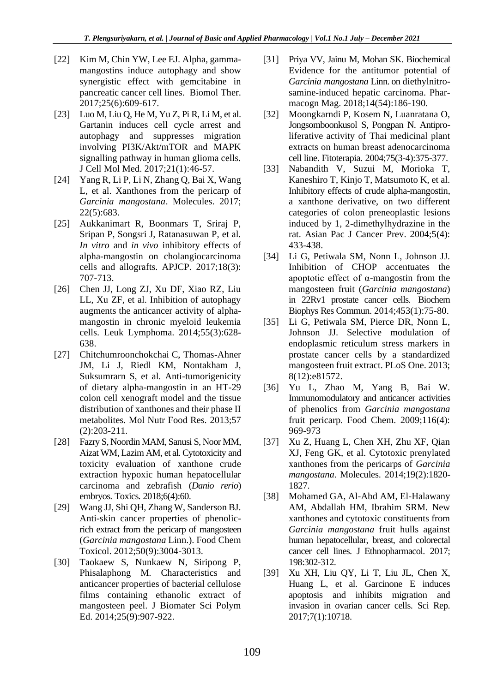- [22] Kim M, Chin YW, Lee EJ. Alpha, gammamangostins induce autophagy and show synergistic effect with gemcitabine in pancreatic cancer cell lines. Biomol Ther. 2017;25(6):609-617.
- [23] Luo M, Liu Q, He M, Yu Z, Pi R, Li M, et al. Gartanin induces cell cycle arrest and autophagy and suppresses migration involving PI3K/Akt/mTOR and MAPK signalling pathway in human glioma cells. J Cell Mol Med. 2017;21(1):46-57.
- [24] Yang R, Li P, Li N, Zhang Q, Bai X, Wang L, et al. Xanthones from the pericarp of *Garcinia mangostana*. Molecules. 2017; 22(5):683.
- [25] Aukkanimart R, Boonmars T, Sriraj P, Sripan P, Songsri J, Ratanasuwan P, et al. *In vitro* and *in vivo* inhibitory effects of alpha-mangostin on cholangiocarcinoma cells and allografts. APJCP. 2017;18(3): 707-713.
- [26] Chen JJ, Long ZJ, Xu DF, Xiao RZ, Liu LL, Xu ZF, et al. Inhibition of autophagy augments the anticancer activity of alphamangostin in chronic myeloid leukemia cells. Leuk Lymphoma. 2014;55(3):628- 638.
- [27] Chitchumroonchokchai C, Thomas-Ahner JM, Li J, Riedl KM, Nontakham J, Suksumrarn S, et al. Anti-tumorigenicity of dietary alpha-mangostin in an HT-29 colon cell xenograft model and the tissue distribution of xanthones and their phase II metabolites. Mol Nutr Food Res. 2013;57 (2):203-211.
- [28] Fazry S, Noordin MAM, Sanusi S, Noor MM, Aizat WM, Lazim AM, et al. Cytotoxicity and toxicity evaluation of xanthone crude extraction hypoxic human hepatocellular carcinoma and zebrafish (*Danio rerio*) embryos. Toxics. 2018;6(4):60.
- [29] Wang JJ, Shi QH, Zhang W, Sanderson BJ. Anti-skin cancer properties of phenolicrich extract from the pericarp of mangosteen (*Garcinia mangostana* Linn.). Food Chem Toxicol. 2012;50(9):3004-3013.
- [30] Taokaew S, Nunkaew N, Siripong P, Phisalaphong M. Characteristics and anticancer properties of bacterial cellulose films containing ethanolic extract of mangosteen peel. J Biomater Sci Polym Ed. 2014;25(9):907-922.
- [31] Priya VV, Jainu M, Mohan SK. Biochemical Evidence for the antitumor potential of *Garcinia mangostana* Linn. on diethylnitrosamine-induced hepatic carcinoma. Pharmacogn Mag. 2018;14(54):186-190.
- [32] Moongkarndi P, Kosem N, Luanratana O, Jongsomboonkusol S, Pongpan N. Antiproliferative activity of Thai medicinal plant extracts on human breast adenocarcinoma cell line. Fitoterapia. 2004;75(3-4):375-377.
- [33] Nabandith V, Suzui M, Morioka T, Kaneshiro T, Kinjo T, Matsumoto K, et al. Inhibitory effects of crude alpha-mangostin, a xanthone derivative, on two different categories of colon preneoplastic lesions induced by 1, 2-dimethylhydrazine in the rat. Asian Pac J Cancer Prev. 2004;5(4): 433-438.
- [34] Li G, Petiwala SM, Nonn L, Johnson JJ. Inhibition of CHOP accentuates the apoptotic effect of α-mangostin from the mangosteen fruit (*Garcinia mangostana*) in 22Rv1 prostate cancer cells. Biochem Biophys Res Commun. 2014;453(1):75-80.
- [35] Li G, Petiwala SM, Pierce DR, Nonn L, Johnson JJ. Selective modulation of endoplasmic reticulum stress markers in prostate cancer cells by a standardized mangosteen fruit extract. PLoS One. 2013; 8(12):e81572.
- [36] Yu L, Zhao M, Yang B, Bai W. Immunomodulatory and anticancer activities of phenolics from *Garcinia mangostana* fruit pericarp. Food Chem. 2009;116(4): 969-973
- [37] Xu Z, Huang L, Chen XH, Zhu XF, Qian XJ, Feng GK, et al. Cytotoxic prenylated xanthones from the pericarps of *Garcinia mangostana*. Molecules. 2014;19(2):1820- 1827.
- [38] Mohamed GA, Al-Abd AM, El-Halawany AM, Abdallah HM, Ibrahim SRM. New xanthones and cytotoxic constituents from *Garcinia mangostana* fruit hulls against human hepatocellular, breast, and colorectal cancer cell lines. J Ethnopharmacol. 2017; 198:302-312.
- [39] Xu XH, Liu QY, Li T, Liu JL, Chen X, Huang L, et al. Garcinone E induces apoptosis and inhibits migration and invasion in ovarian cancer cells. Sci Rep. 2017;7(1):10718.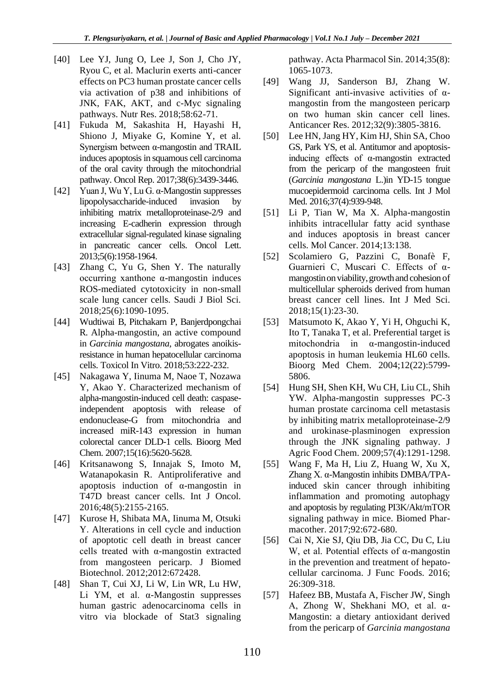- [40] Lee YJ, Jung O, Lee J, Son J, Cho JY, Ryou C, et al. Maclurin exerts anti-cancer effects on PC3 human prostate cancer cells via activation of p38 and inhibitions of JNK, FAK, AKT, and c-Myc signaling pathways. Nutr Res. 2018;58:62-71.
- [41] Fukuda M, Sakashita H, Hayashi H, Shiono J, Miyake G, Komine Y, et al. Synergism between α-mangostin and TRAIL induces apoptosis in squamous cell carcinoma of the oral cavity through the mitochondrial pathway. Oncol Rep. 2017;38(6):3439-3446.
- [42] Yuan J, Wu Y, Lu G. α-Mangostin suppresses lipopolysaccharide-induced invasion by inhibiting matrix metalloproteinase-2/9 and increasing E-cadherin expression through extracellular signal-regulated kinase signaling in pancreatic cancer cells. Oncol Lett. 2013;5(6):1958-1964.
- [43] Zhang C, Yu G, Shen Y. The naturally occurring xanthone α-mangostin induces ROS-mediated cytotoxicity in non-small scale lung cancer cells. Saudi J Biol Sci. 2018;25(6):1090-1095.
- [44] Wudtiwai B, Pitchakarn P, Banjerdpongchai R. Alpha-mangostin, an active compound in *Garcinia mangostana*, abrogates anoikisresistance in human hepatocellular carcinoma cells. Toxicol In Vitro. 2018;53:222-232.
- [45] Nakagawa Y, Iinuma M, Naoe T, Nozawa Y, Akao Y. Characterized mechanism of alpha-mangostin-induced cell death: caspaseindependent apoptosis with release of endonuclease-G from mitochondria and increased miR-143 expression in human colorectal cancer DLD-1 cells. Bioorg Med Chem. 2007;15(16):5620-5628.
- [46] Kritsanawong S, Innajak S, Imoto M, Watanapokasin R. Antiproliferative and apoptosis induction of α-mangostin in T47D breast cancer cells. Int J Oncol. 2016;48(5):2155-2165.
- [47] Kurose H, Shibata MA, Iinuma M, Otsuki Y. Alterations in cell cycle and induction of apoptotic cell death in breast cancer cells treated with α-mangostin extracted from mangosteen pericarp. J Biomed Biotechnol. 2012;2012:672428.
- [48] Shan T, Cui XJ, Li W, Lin WR, Lu HW, Li YM, et al. α-Mangostin suppresses human gastric adenocarcinoma cells in vitro via blockade of Stat3 signaling

pathway. Acta Pharmacol Sin. 2014;35(8): 1065-1073.

- [49] Wang JJ, Sanderson BJ, Zhang W. Significant anti-invasive activities of αmangostin from the mangosteen pericarp on two human skin cancer cell lines. Anticancer Res. 2012;32(9):3805-3816.
- [50] Lee HN, Jang HY, Kim HJ, Shin SA, Choo GS, Park YS, et al. Antitumor and apoptosisinducing effects of α-mangostin extracted from the pericarp of the mangosteen fruit (*Garcinia mangostana* L.)in YD-15 tongue mucoepidermoid carcinoma cells. Int J Mol Med. 2016;37(4):939-948.
- [51] Li P, Tian W, Ma X. Alpha-mangostin inhibits intracellular fatty acid synthase and induces apoptosis in breast cancer cells. Mol Cancer. 2014;13:138.
- [52] Scolamiero G, Pazzini C, Bonafè F, Guarnieri C, Muscari C. Effects of αmangostin on viability, growth and cohesion of multicellular spheroids derived from human breast cancer cell lines. Int J Med Sci. 2018;15(1):23-30.
- [53] Matsumoto K, Akao Y, Yi H, Ohguchi K, Ito T, Tanaka T, et al. Preferential target is mitochondria in α-mangostin-induced apoptosis in human leukemia HL60 cells. Bioorg Med Chem. 2004;12(22):5799- 5806.
- [54] Hung SH, Shen KH, Wu CH, Liu CL, Shih YW. Alpha-mangostin suppresses PC-3 human prostate carcinoma cell metastasis by inhibiting matrix metalloproteinase-2/9 and urokinase-plasminogen expression through the JNK signaling pathway. J Agric Food Chem. 2009;57(4):1291-1298.
- [55] Wang F, Ma H, Liu Z, Huang W, Xu X, Zhang X. α-Mangostin inhibits DMBA/TPAinduced skin cancer through inhibiting inflammation and promoting autophagy and apoptosis by regulating PI3K/Akt/mTOR signaling pathway in mice. Biomed Pharmacother. 2017;92:672-680.
- [56] Cai N, Xie SJ, Qiu DB, Jia CC, Du C, Liu W, et al. Potential effects of α-mangostin in the prevention and treatment of hepatocellular carcinoma. J Func Foods. 2016; 26:309-318.
- [57] Hafeez BB, Mustafa A, Fischer JW, Singh A, Zhong W, Shekhani MO, et al. α-Mangostin: a dietary antioxidant derived from the pericarp of *Garcinia mangostana*